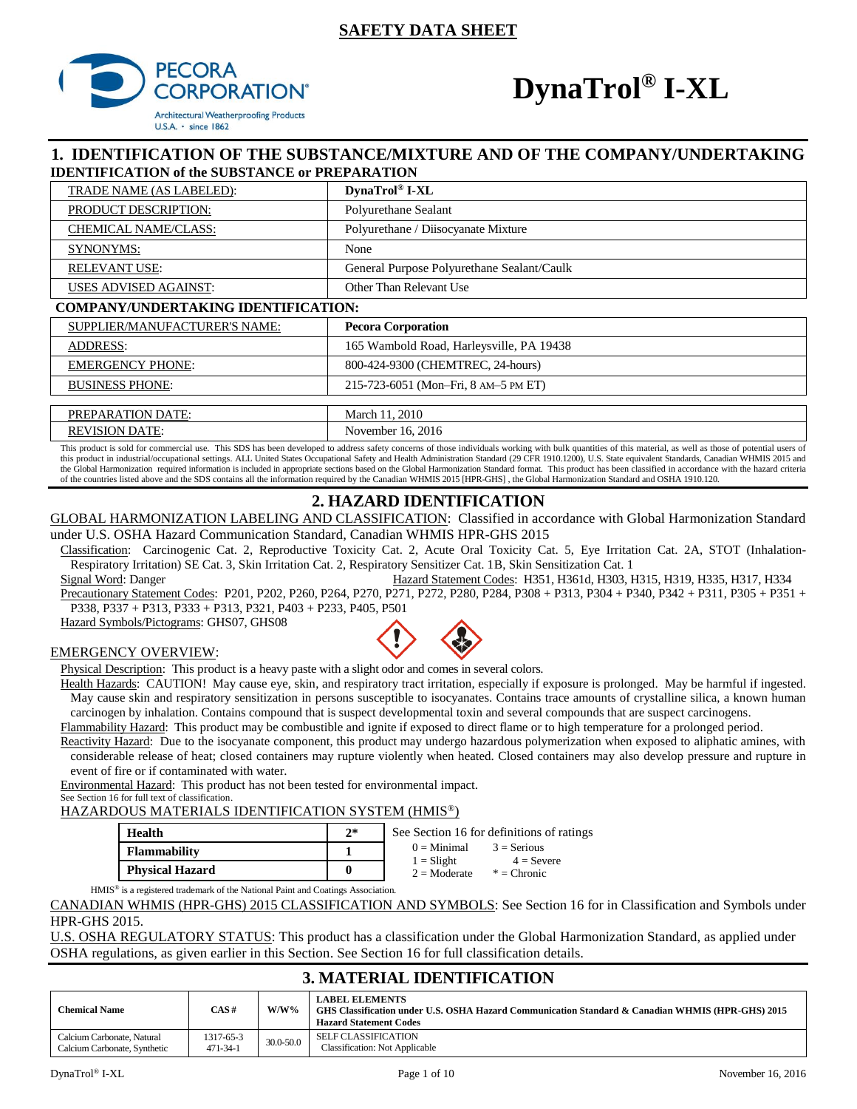# **SAFETY DATA SHEET**



# **DynaTrol® I-XL**

# **1. IDENTIFICATION OF THE SUBSTANCE/MIXTURE AND OF THE COMPANY/UNDERTAKING IDENTIFICATION of the SUBSTANCE or PREPARATION**

| DynaTrol® I-XL                             |
|--------------------------------------------|
| Polyurethane Sealant                       |
| Polyurethane / Diisocyanate Mixture        |
| None                                       |
| General Purpose Polyurethane Sealant/Caulk |
| Other Than Relevant Use                    |
| <b>COMPANY/UNDERTAKING IDENTIFICATION:</b> |
| <b>Pecora Corporation</b>                  |
| 165 Wambold Road, Harleysville, PA 19438   |
|                                            |

| <b>EMERGENCY PHONE:</b>  | 800-424-9300 (CHEMTREC, 24-hours)    |
|--------------------------|--------------------------------------|
| <b>BUSINESS PHONE:</b>   | 215-723-6051 (Mon-Fri, 8 AM-5 PM ET) |
|                          |                                      |
| <b>PREPARATION DATE:</b> | March 11, 2010                       |
| <b>REVISION DATE:</b>    | November 16, 2016                    |

This product is sold for commercial use. This SDS has been developed to address safety concerns of those individuals working with bulk quantities of this material, as well as those of potential users of this product in industrial/occupational settings. ALL United States Occupational Safety and Health Administration Standard (29 CFR 1910.1200), U.S. State equivalent Standards, Canadian WHMIS 2015 and the Global Harmonization required information is included in appropriate sections based on the Global Harmonization Standard format. This product has been classified in accordance with the hazard criteria of the countries listed above and the SDS contains all the information required by the Canadian WHMIS 2015 [HPR-GHS] , the Global Harmonization Standard and OSHA 1910.120.

# **2. HAZARD IDENTIFICATION**

GLOBAL HARMONIZATION LABELING AND CLASSIFICATION: Classified in accordance with Global Harmonization Standard under U.S. OSHA Hazard Communication Standard, Canadian WHMIS HPR-GHS 2015

Classification: Carcinogenic Cat. 2, Reproductive Toxicity Cat. 2, Acute Oral Toxicity Cat. 5, Eye Irritation Cat. 2A, STOT (Inhalation-Respiratory Irritation) SE Cat. 3, Skin Irritation Cat. 2, Respiratory Sensitizer Cat. 1B, Skin Sensitization Cat. 1

Signal Word: Danger **Hazard Statement Codes: H351, H361d, H303, H315, H319, H335, H317, H334** Precautionary Statement Codes: P201, P202, P260, P264, P270, P271, P272, P280, P284, P308 + P313, P304 + P340, P342 + P311, P305 + P351 + P338, P337 + P313, P333 + P313, P321, P403 + P233, P405, P501

Hazard Symbols/Pictograms: GHS07, GHS08

#### EMERGENCY OVERVIEW:



Physical Description: This product is a heavy paste with a slight odor and comes in several colors.

Health Hazards: CAUTION! May cause eye, skin, and respiratory tract irritation, especially if exposure is prolonged. May be harmful if ingested. May cause skin and respiratory sensitization in persons susceptible to isocyanates. Contains trace amounts of crystalline silica, a known human carcinogen by inhalation. Contains compound that is suspect developmental toxin and several compounds that are suspect carcinogens.

Flammability Hazard: This product may be combustible and ignite if exposed to direct flame or to high temperature for a prolonged period.

Reactivity Hazard: Due to the isocyanate component, this product may undergo hazardous polymerization when exposed to aliphatic amines, with considerable release of heat; closed containers may rupture violently when heated. Closed containers may also develop pressure and rupture in event of fire or if contaminated with water.

Environmental Hazard: This product has not been tested for environmental impact. See Section 16 for full text of classification.

HAZARDOUS MATERIALS IDENTIFICATION SYSTEM (HMIS®)

| Health                 | $2*$ | See Section 16 for definitions of ratings                      |  |  |  |
|------------------------|------|----------------------------------------------------------------|--|--|--|
| <b>Flammability</b>    |      | $0 =$ Minimal<br>$3 =$ Serious<br>$1 =$ Slight<br>$4 =$ Severe |  |  |  |
| <b>Physical Hazard</b> | 0    | $2 =$ Moderate<br>$*$ = Chronic                                |  |  |  |

HMIS® is a registered trademark of the National Paint and Coatings Association.

CANADIAN WHMIS (HPR-GHS) 2015 CLASSIFICATION AND SYMBOLS: See Section 16 for in Classification and Symbols under HPR-GHS 2015.

U.S. OSHA REGULATORY STATUS: This product has a classification under the Global Harmonization Standard, as applied under OSHA regulations, as given earlier in this Section. See Section 16 for full classification details.

# **3. MATERIAL IDENTIFICATION**

| <b>Chemical Name</b>         | CAS#           | $W/W\%$   | <b>LABEL ELEMENTS</b><br>GHS Classification under U.S. OSHA Hazard Communication Standard & Canadian WHMIS (HPR-GHS) 2015<br><b>Hazard Statement Codes</b> |
|------------------------------|----------------|-----------|------------------------------------------------------------------------------------------------------------------------------------------------------------|
| Calcium Carbonate, Natural   | 1317-65-3      | 30.0-50.0 | <b>SELF CLASSIFICATION</b>                                                                                                                                 |
| Calcium Carbonate, Synthetic | $471 - 34 - 1$ |           | <b>Classification: Not Applicable</b>                                                                                                                      |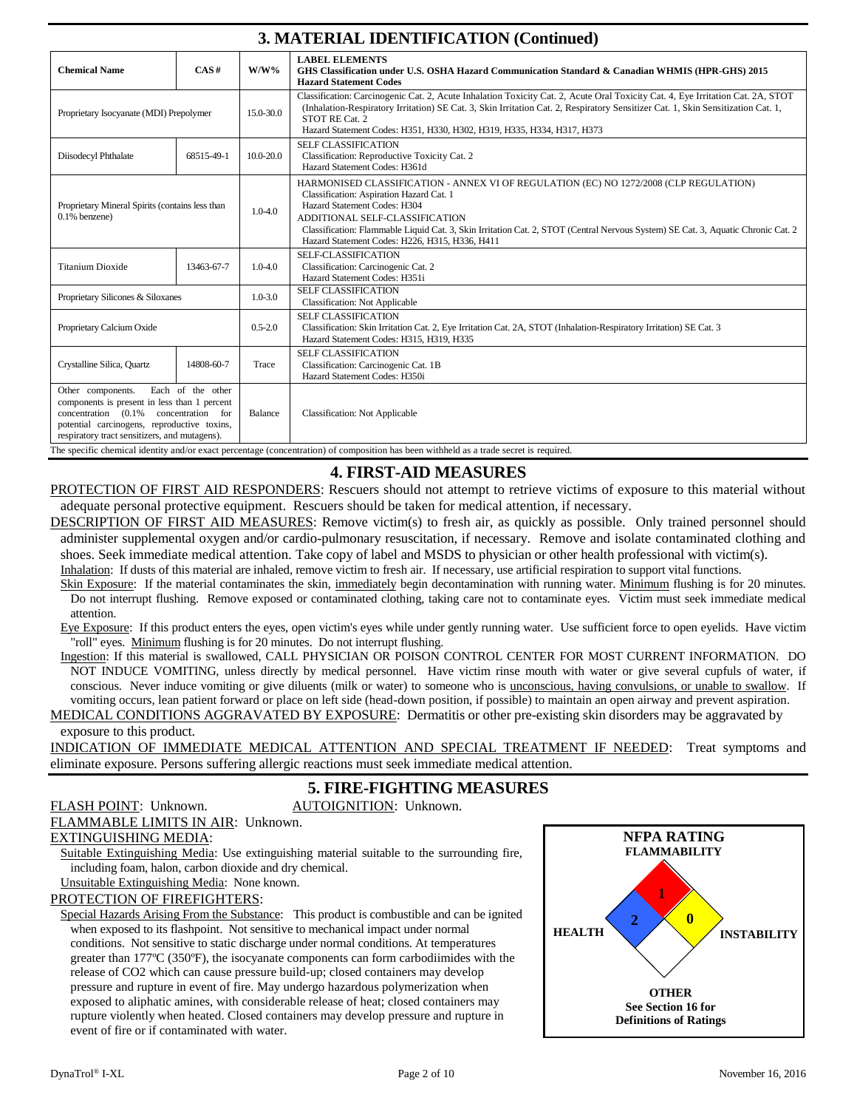# **3. MATERIAL IDENTIFICATION (Continued)**

| 9. MATERIAL IDER ITTUATIOR (Continuum)                                                                                                                                                        |                                        |                                                                                                              |                                                                                                                                                                                                                                                                                                                                                                                           |  |  |  |
|-----------------------------------------------------------------------------------------------------------------------------------------------------------------------------------------------|----------------------------------------|--------------------------------------------------------------------------------------------------------------|-------------------------------------------------------------------------------------------------------------------------------------------------------------------------------------------------------------------------------------------------------------------------------------------------------------------------------------------------------------------------------------------|--|--|--|
| <b>Chemical Name</b>                                                                                                                                                                          | CAS#                                   | $W/W\%$                                                                                                      | <b>LABEL ELEMENTS</b><br>GHS Classification under U.S. OSHA Hazard Communication Standard & Canadian WHMIS (HPR-GHS) 2015<br><b>Hazard Statement Codes</b>                                                                                                                                                                                                                                |  |  |  |
| Proprietary Isocyanate (MDI) Prepolymer                                                                                                                                                       |                                        | 15.0-30.0                                                                                                    | Classification: Carcinogenic Cat. 2, Acute Inhalation Toxicity Cat. 2, Acute Oral Toxicity Cat. 4, Eye Irritation Cat. 2A, STOT<br>(Inhalation-Respiratory Irritation) SE Cat. 3, Skin Irritation Cat. 2, Respiratory Sensitizer Cat. 1, Skin Sensitization Cat. 1,<br>STOT RE Cat. 2<br>Hazard Statement Codes: H351, H330, H302, H319, H335, H334, H317, H373                           |  |  |  |
| Diisodecyl Phthalate                                                                                                                                                                          | 68515-49-1                             | $10.0 - 20.0$                                                                                                | <b>SELF CLASSIFICATION</b><br>Classification: Reproductive Toxicity Cat. 2<br>Hazard Statement Codes: H361d                                                                                                                                                                                                                                                                               |  |  |  |
| Proprietary Mineral Spirits (contains less than<br>$0.1\%$ benzene)                                                                                                                           |                                        | $1.0 - 4.0$                                                                                                  | HARMONISED CLASSIFICATION - ANNEX VI OF REGULATION (EC) NO 1272/2008 (CLP REGULATION)<br>Classification: Aspiration Hazard Cat. 1<br>Hazard Statement Codes: H304<br>ADDITIONAL SELF-CLASSIFICATION<br>Classification: Flammable Liquid Cat. 3, Skin Irritation Cat. 2, STOT (Central Nervous System) SE Cat. 3, Aquatic Chronic Cat. 2<br>Hazard Statement Codes: H226, H315, H336, H411 |  |  |  |
| <b>Titanium Dioxide</b>                                                                                                                                                                       | 13463-67-7                             | $1.0 - 4.0$                                                                                                  | SELF-CLASSIFICATION<br>Classification: Carcinogenic Cat. 2<br>Hazard Statement Codes: H351i                                                                                                                                                                                                                                                                                               |  |  |  |
| Proprietary Silicones & Siloxanes                                                                                                                                                             |                                        | $1.0 - 3.0$                                                                                                  | <b>SELF CLASSIFICATION</b><br><b>Classification: Not Applicable</b>                                                                                                                                                                                                                                                                                                                       |  |  |  |
| Proprietary Calcium Oxide                                                                                                                                                                     |                                        | $0.5 - 2.0$                                                                                                  | <b>SELF CLASSIFICATION</b><br>Classification: Skin Irritation Cat. 2, Eye Irritation Cat. 2A, STOT (Inhalation-Respiratory Irritation) SE Cat. 3<br>Hazard Statement Codes: H315, H319, H335                                                                                                                                                                                              |  |  |  |
| Crystalline Silica, Quartz                                                                                                                                                                    | 14808-60-7                             | <b>SELF CLASSIFICATION</b><br>Classification: Carcinogenic Cat. 1B<br>Trace<br>Hazard Statement Codes: H350i |                                                                                                                                                                                                                                                                                                                                                                                           |  |  |  |
| Other components.<br>components is present in less than 1 percent<br>$concentration$ $(0.1\%$<br>potential carcinogens, reproductive toxins,<br>respiratory tract sensitizers, and mutagens). | Each of the other<br>concentration for | Balance                                                                                                      | <b>Classification: Not Applicable</b><br>The specific chemical identity and/or exact percentage (concentration) of composition has been withheld as a trade secret is required.                                                                                                                                                                                                           |  |  |  |

# **4. FIRST-AID MEASURES**

PROTECTION OF FIRST AID RESPONDERS: Rescuers should not attempt to retrieve victims of exposure to this material without adequate personal protective equipment. Rescuers should be taken for medical attention, if necessary.

DESCRIPTION OF FIRST AID MEASURES: Remove victim(s) to fresh air, as quickly as possible. Only trained personnel should administer supplemental oxygen and/or cardio-pulmonary resuscitation, if necessary. Remove and isolate contaminated clothing and shoes. Seek immediate medical attention. Take copy of label and MSDS to physician or other health professional with victim(s).

Inhalation: If dusts of this material are inhaled, remove victim to fresh air. If necessary, use artificial respiration to support vital functions. Skin Exposure: If the material contaminates the skin, immediately begin decontamination with running water. Minimum flushing is for 20 minutes.

Do not interrupt flushing. Remove exposed or contaminated clothing, taking care not to contaminate eyes. Victim must seek immediate medical attention.

Eye Exposure: If this product enters the eyes, open victim's eyes while under gently running water. Use sufficient force to open eyelids. Have victim "roll" eyes. Minimum flushing is for 20 minutes. Do not interrupt flushing.

Ingestion: If this material is swallowed, CALL PHYSICIAN OR POISON CONTROL CENTER FOR MOST CURRENT INFORMATION. DO NOT INDUCE VOMITING, unless directly by medical personnel. Have victim rinse mouth with water or give several cupfuls of water, if conscious. Never induce vomiting or give diluents (milk or water) to someone who is unconscious, having convulsions, or unable to swallow. If vomiting occurs, lean patient forward or place on left side (head-down position, if possible) to maintain an open airway and prevent aspiration.

MEDICAL CONDITIONS AGGRAVATED BY EXPOSURE: Dermatitis or other pre-existing skin disorders may be aggravated by exposure to this product.

INDICATION OF IMMEDIATE MEDICAL ATTENTION AND SPECIAL TREATMENT IF NEEDED: Treat symptoms and eliminate exposure. Persons suffering allergic reactions must seek immediate medical attention.

# **5. FIRE-FIGHTING MEASURES**

# FLASH POINT: Unknown. AUTOIGNITION: Unknown.

FLAMMABLE LIMITS IN AIR: Unknown.

# EXTINGUISHING MEDIA:

Suitable Extinguishing Media: Use extinguishing material suitable to the surrounding fire, including foam, halon, carbon dioxide and dry chemical.

Unsuitable Extinguishing Media: None known.

#### PROTECTION OF FIREFIGHTERS:

Special Hazards Arising From the Substance: This product is combustible and can be ignited when exposed to its flashpoint. Not sensitive to mechanical impact under normal conditions. Not sensitive to static discharge under normal conditions. At temperatures greater than 177ºC (350ºF), the isocyanate components can form carbodiimides with the release of CO2 which can cause pressure build-up; closed containers may develop pressure and rupture in event of fire. May undergo hazardous polymerization when exposed to aliphatic amines, with considerable release of heat; closed containers may rupture violently when heated. Closed containers may develop pressure and rupture in event of fire or if contaminated with water.

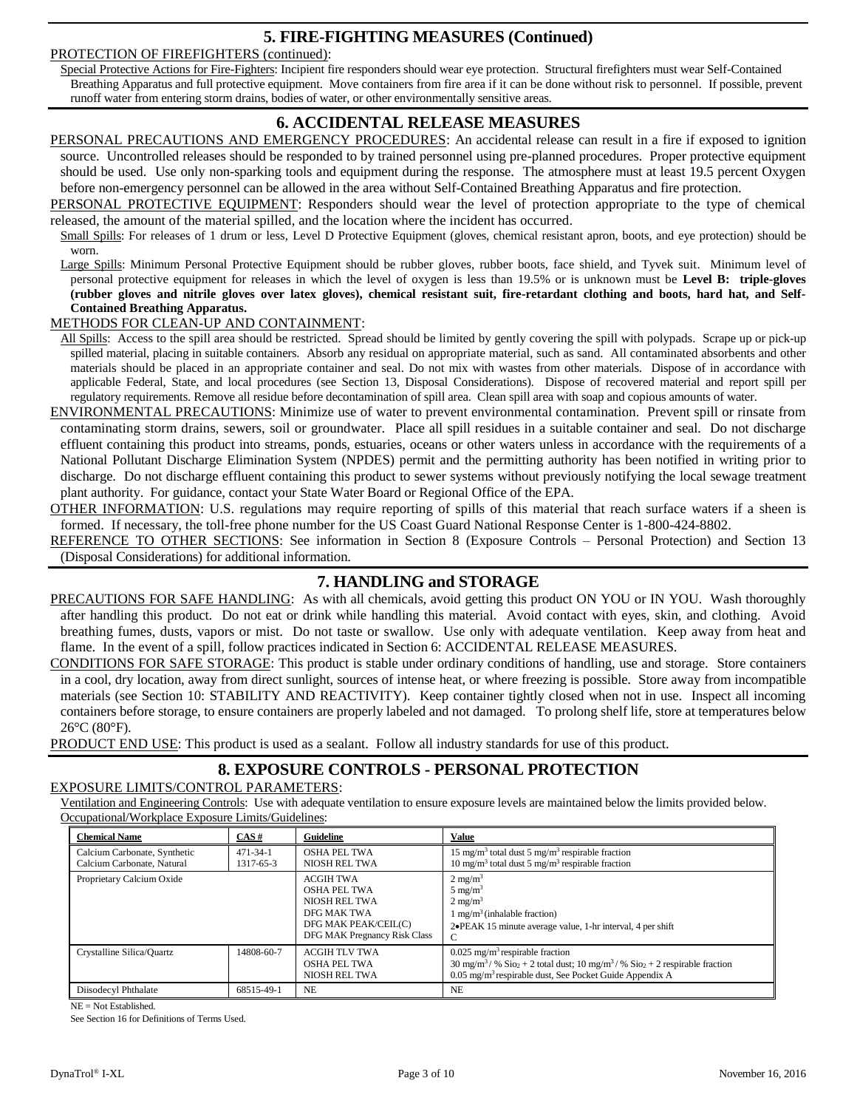# **5. FIRE-FIGHTING MEASURES (Continued)**

### PROTECTION OF FIREFIGHTERS (continued):

Special Protective Actions for Fire-Fighters: Incipient fire responders should wear eye protection. Structural firefighters must wear Self-Contained Breathing Apparatus and full protective equipment. Move containers from fire area if it can be done without risk to personnel. If possible, prevent runoff water from entering storm drains, bodies of water, or other environmentally sensitive areas.

# **6. ACCIDENTAL RELEASE MEASURES**

PERSONAL PRECAUTIONS AND EMERGENCY PROCEDURES: An accidental release can result in a fire if exposed to ignition source. Uncontrolled releases should be responded to by trained personnel using pre-planned procedures. Proper protective equipment should be used. Use only non-sparking tools and equipment during the response. The atmosphere must at least 19.5 percent Oxygen before non-emergency personnel can be allowed in the area without Self-Contained Breathing Apparatus and fire protection.

PERSONAL PROTECTIVE EQUIPMENT: Responders should wear the level of protection appropriate to the type of chemical released, the amount of the material spilled, and the location where the incident has occurred.

Small Spills: For releases of 1 drum or less, Level D Protective Equipment (gloves, chemical resistant apron, boots, and eye protection) should be worn.

Large Spills: Minimum Personal Protective Equipment should be rubber gloves, rubber boots, face shield, and Tyvek suit. Minimum level of personal protective equipment for releases in which the level of oxygen is less than 19.5% or is unknown must be **Level B: triple-gloves (rubber gloves and nitrile gloves over latex gloves), chemical resistant suit, fire-retardant clothing and boots, hard hat, and Self-Contained Breathing Apparatus.**

### METHODS FOR CLEAN-UP AND CONTAINMENT:

All Spills: Access to the spill area should be restricted. Spread should be limited by gently covering the spill with polypads. Scrape up or pick-up spilled material, placing in suitable containers. Absorb any residual on appropriate material, such as sand. All contaminated absorbents and other materials should be placed in an appropriate container and seal. Do not mix with wastes from other materials. Dispose of in accordance with applicable Federal, State, and local procedures (see Section 13, Disposal Considerations). Dispose of recovered material and report spill per regulatory requirements. Remove all residue before decontamination of spill area. Clean spill area with soap and copious amounts of water.

ENVIRONMENTAL PRECAUTIONS: Minimize use of water to prevent environmental contamination. Prevent spill or rinsate from contaminating storm drains, sewers, soil or groundwater. Place all spill residues in a suitable container and seal. Do not discharge effluent containing this product into streams, ponds, estuaries, oceans or other waters unless in accordance with the requirements of a National Pollutant Discharge Elimination System (NPDES) permit and the permitting authority has been notified in writing prior to discharge. Do not discharge effluent containing this product to sewer systems without previously notifying the local sewage treatment plant authority. For guidance, contact your State Water Board or Regional Office of the EPA.

OTHER INFORMATION: U.S. regulations may require reporting of spills of this material that reach surface waters if a sheen is formed. If necessary, the toll-free phone number for the US Coast Guard National Response Center is 1-800-424-8802.

REFERENCE TO OTHER SECTIONS: See information in Section 8 (Exposure Controls – Personal Protection) and Section 13 (Disposal Considerations) for additional information.

# **7. HANDLING and STORAGE**

PRECAUTIONS FOR SAFE HANDLING: As with all chemicals, avoid getting this product ON YOU or IN YOU. Wash thoroughly after handling this product. Do not eat or drink while handling this material. Avoid contact with eyes, skin, and clothing. Avoid breathing fumes, dusts, vapors or mist. Do not taste or swallow. Use only with adequate ventilation. Keep away from heat and flame. In the event of a spill, follow practices indicated in Section 6: ACCIDENTAL RELEASE MEASURES.

CONDITIONS FOR SAFE STORAGE: This product is stable under ordinary conditions of handling, use and storage. Store containers in a cool, dry location, away from direct sunlight, sources of intense heat, or where freezing is possible. Store away from incompatible materials (see Section 10: STABILITY AND REACTIVITY). Keep container tightly closed when not in use. Inspect all incoming containers before storage, to ensure containers are properly labeled and not damaged. To prolong shelf life, store at temperatures below  $26^{\circ}$ C (80 $^{\circ}$ F).

**PRODUCT END USE:** This product is used as a sealant. Follow all industry standards for use of this product.

# **8. EXPOSURE CONTROLS - PERSONAL PROTECTION**

### EXPOSURE LIMITS/CONTROL PARAMETERS:

Ventilation and Engineering Controls: Use with adequate ventilation to ensure exposure levels are maintained below the limits provided below. Occupational/Workplace Exposure Limits/Guidelines:

| <b>Chemical Name</b>                                       | CAS#                        | Guideline                                                                                                                       | <b>Value</b>                                                                                                                                                                                                                                  |
|------------------------------------------------------------|-----------------------------|---------------------------------------------------------------------------------------------------------------------------------|-----------------------------------------------------------------------------------------------------------------------------------------------------------------------------------------------------------------------------------------------|
| Calcium Carbonate, Synthetic<br>Calcium Carbonate, Natural | $471 - 34 - 1$<br>1317-65-3 | <b>OSHA PEL TWA</b><br>NIOSH REL TWA                                                                                            | 15 mg/m <sup>3</sup> total dust 5 mg/m <sup>3</sup> respirable fraction<br>10 mg/m <sup>3</sup> total dust 5 mg/m <sup>3</sup> respirable fraction                                                                                            |
| Proprietary Calcium Oxide                                  |                             | <b>ACGIH TWA</b><br><b>OSHA PEL TWA</b><br>NIOSH REL TWA<br>DFG MAK TWA<br>DFG MAK PEAK/CEIL(C)<br>DFG MAK Pregnancy Risk Class | $2 \text{ mg/m}^3$<br>$5 \text{ mg/m}^3$<br>$2 \text{ mg/m}^3$<br>$1 \text{ mg/m}^3$ (inhalable fraction)<br>2. PEAK 15 minute average value, 1-hr interval, 4 per shift                                                                      |
| Crystalline Silica/Quartz                                  | 14808-60-7                  | <b>ACGIH TLV TWA</b><br><b>OSHA PEL TWA</b><br>NIOSH REL TWA                                                                    | $0.025$ mg/m <sup>3</sup> respirable fraction<br>$30 \text{ mg/m}^3$ / % $\text{Si}o_2 + 2$ total dust; $10 \text{ mg/m}^3$ / % $\text{Si}o_2 + 2$ respirable fraction<br>0.05 mg/m <sup>3</sup> respirable dust, See Pocket Guide Appendix A |
| Diisodecyl Phthalate                                       | 68515-49-1                  | NE.                                                                                                                             | N <sub>E</sub>                                                                                                                                                                                                                                |

NE = Not Established.

See Section 16 for Definitions of Terms Used.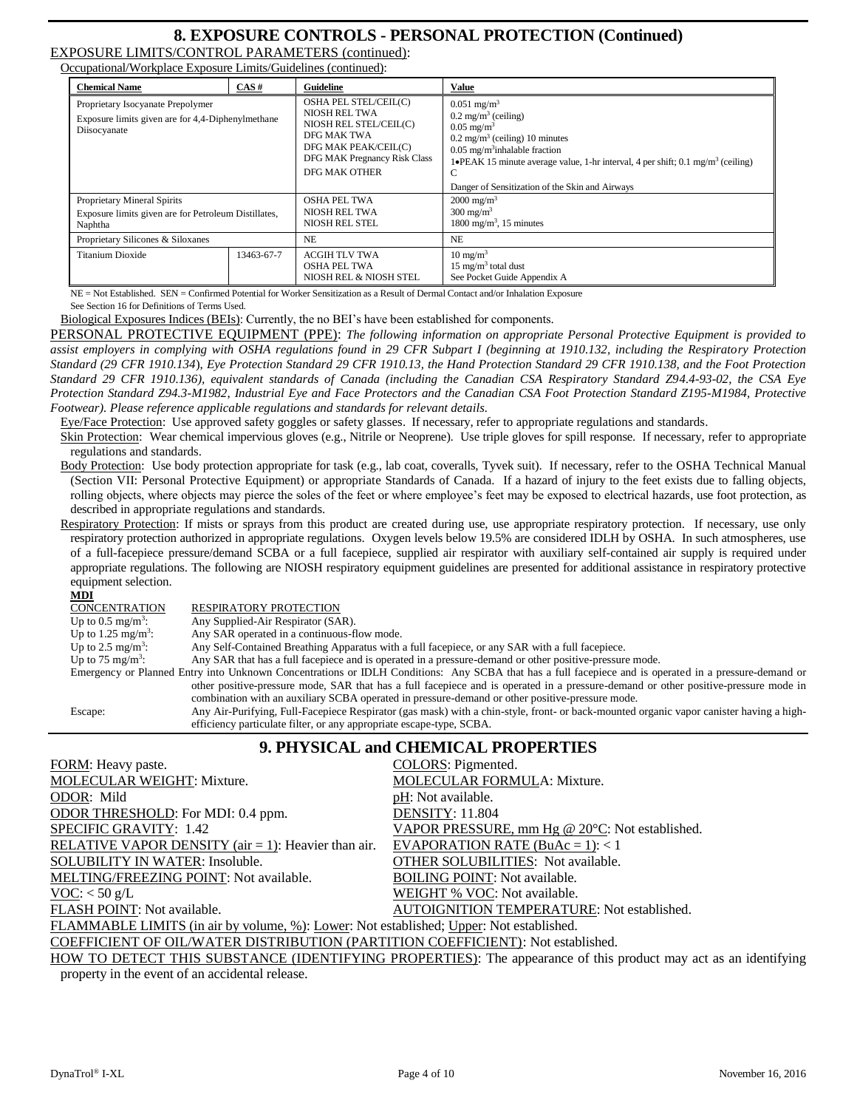# **8. EXPOSURE CONTROLS - PERSONAL PROTECTION (Continued)**

EXPOSURE LIMITS/CONTROL PARAMETERS (continued): Occupational/Workplace Exposure Limits/Guidelines (continued):

| <b>Chemical Name</b>                                                                                   | CAS#       | Guideline                                                                                                                                                       | <b>Value</b>                                                                                                                                                                                                                                                                                                                        |
|--------------------------------------------------------------------------------------------------------|------------|-----------------------------------------------------------------------------------------------------------------------------------------------------------------|-------------------------------------------------------------------------------------------------------------------------------------------------------------------------------------------------------------------------------------------------------------------------------------------------------------------------------------|
| Proprietary Isocyanate Prepolymer<br>Exposure limits given are for 4,4-Diphenylmethane<br>Diisocyanate |            | OSHA PEL STEL/CEIL(C)<br>NIOSH REL TWA<br>NIOSH REL STEL/CEIL(C)<br>DFG MAK TWA<br>DFG MAK PEAK/CEIL(C)<br>DFG MAK Pregnancy Risk Class<br><b>DFG MAK OTHER</b> | $0.051$ mg/m <sup>3</sup><br>$0.2 \text{ mg/m}^3$ (ceiling)<br>$0.05 \text{ mg/m}^3$<br>$0.2 \text{ mg/m}^3$ (ceiling) 10 minutes<br>$0.05$ mg/m <sup>3</sup> inhalable fraction<br>1• PEAK 15 minute average value, 1-hr interval, 4 per shift; 0.1 mg/m <sup>3</sup> (ceiling)<br>Danger of Sensitization of the Skin and Airways |
| Proprietary Mineral Spirits<br>Exposure limits given are for Petroleum Distillates,<br>Naphtha         |            | <b>OSHA PEL TWA</b><br>NIOSH REL TWA<br>NIOSH REL STEL                                                                                                          | $2000 \text{ mg/m}^3$<br>$300 \text{ mg/m}^3$<br>1800 mg/m <sup>3</sup> , 15 minutes                                                                                                                                                                                                                                                |
| Proprietary Silicones & Siloxanes                                                                      |            | NE.                                                                                                                                                             | <b>NE</b>                                                                                                                                                                                                                                                                                                                           |
| Titanium Dioxide                                                                                       | 13463-67-7 |                                                                                                                                                                 | $10 \text{ mg/m}^3$<br>$15 \text{ mg/m}^3$ total dust<br>See Pocket Guide Appendix A                                                                                                                                                                                                                                                |

NE = Not Established. SEN = Confirmed Potential for Worker Sensitization as a Result of Dermal Contact and/or Inhalation Exposure See Section 16 for Definitions of Terms Used.

Biological Exposures Indices (BEIs): Currently, the no BEI's have been established for components.

PERSONAL PROTECTIVE EQUIPMENT (PPE): *The following information on appropriate Personal Protective Equipment is provided to assist employers in complying with OSHA regulations found in 29 CFR Subpart I (beginning at 1910.132, including the Respiratory Protection Standard (29 CFR 1910.134*), *Eye Protection Standard 29 CFR 1910.13, the Hand Protection Standard 29 CFR 1910.138, and the Foot Protection Standard 29 CFR 1910.136), equivalent standards of Canada (including the Canadian CSA Respiratory Standard Z94.4-93-02, the CSA Eye Protection Standard Z94.3-M1982*, *Industrial Eye and Face Protectors and the Canadian CSA Foot Protection Standard Z195-M1984, Protective Footwear). Please reference applicable regulations and standards for relevant details.*

Eye/Face Protection: Use approved safety goggles or safety glasses. If necessary, refer to appropriate regulations and standards.

Skin Protection: Wear chemical impervious gloves (e.g., Nitrile or Neoprene). Use triple gloves for spill response. If necessary, refer to appropriate regulations and standards.

Body Protection: Use body protection appropriate for task (e.g., lab coat, coveralls, Tyvek suit). If necessary, refer to the OSHA Technical Manual (Section VII: Personal Protective Equipment) or appropriate Standards of Canada. If a hazard of injury to the feet exists due to falling objects, rolling objects, where objects may pierce the soles of the feet or where employee's feet may be exposed to electrical hazards, use foot protection, as described in appropriate regulations and standards.

Respiratory Protection: If mists or sprays from this product are created during use, use appropriate respiratory protection. If necessary, use only respiratory protection authorized in appropriate regulations. Oxygen levels below 19.5% are considered IDLH by OSHA. In such atmospheres, use of a full-facepiece pressure/demand SCBA or a full facepiece, supplied air respirator with auxiliary self-contained air supply is required under appropriate regulations. The following are NIOSH respiratory equipment guidelines are presented for additional assistance in respiratory protective equipment selection.

#### **MDI**

#### CONCENTRATION RESPIRATORY PROTECTION

Up to  $0.5 \text{ mg/m}^3$ : : Any Supplied-Air Respirator (SAR).

Up to  $1.25$  mg/m<sup>3</sup>: : Any SAR operated in a continuous-flow mode.

Up to  $2.5 \text{ mg/m}^3$ : Any Self-Contained Breathing Apparatus with a full facepiece, or any SAR with a full facepiece.

Up to 75 mg/m<sup>3</sup>: : Any SAR that has a full facepiece and is operated in a pressure-demand or other positive-pressure mode.

Emergency or Planned Entry into Unknown Concentrations or IDLH Conditions: Any SCBA that has a full facepiece and is operated in a pressure-demand or other positive-pressure mode, SAR that has a full facepiece and is operated in a pressure-demand or other positive-pressure mode in combination with an auxiliary SCBA operated in pressure-demand or other positive-pressure mode.

Escape: Any Air-Purifying, Full-Facepiece Respirator (gas mask) with a chin-style, front- or back-mounted organic vapor canister having a highefficiency particulate filter, or any appropriate escape-type, SCBA.

# **9. PHYSICAL and CHEMICAL PROPERTIES**

| FORM: Heavy paste.                                                                      | COLORS: Pigmented.                                                                                              |
|-----------------------------------------------------------------------------------------|-----------------------------------------------------------------------------------------------------------------|
| <b>MOLECULAR WEIGHT: Mixture.</b>                                                       | MOLECULAR FORMULA: Mixture.                                                                                     |
| ODOR: Mild                                                                              | pH: Not available.                                                                                              |
| ODOR THRESHOLD: For MDI: 0.4 ppm.                                                       | <b>DENSITY: 11.804</b>                                                                                          |
| SPECIFIC GRAVITY: 1.42                                                                  | VAPOR PRESSURE, mm Hg @ $20^{\circ}$ C: Not established.                                                        |
| RELATIVE VAPOR DENSITY ( $air = 1$ ): Heavier than $air$ .                              | EVAPORATION RATE $(BuAc = 1):$ < 1                                                                              |
| SOLUBILITY IN WATER: Insoluble.                                                         | OTHER SOLUBILITIES: Not available.                                                                              |
| MELTING/FREEZING POINT: Not available.                                                  | <b>BOILING POINT: Not available.</b>                                                                            |
| $\underline{VOC}$ : < 50 g/L                                                            | WEIGHT % VOC: Not available.                                                                                    |
| FLASH POINT: Not available.                                                             | AUTOIGNITION TEMPERATURE: Not established.                                                                      |
| FLAMMABLE LIMITS (in air by volume, %): Lower: Not established; Upper: Not established. |                                                                                                                 |
| COEFFICIENT OF OIL/WATER DISTRIBUTION (PARTITION COEFFICIENT): Not established.         |                                                                                                                 |
|                                                                                         | HOW TO DETECT THIS SUBSTANCE (IDENTIFYING PROPERTIES): The appearance of this product may act as an identifying |

property in the event of an accidental release.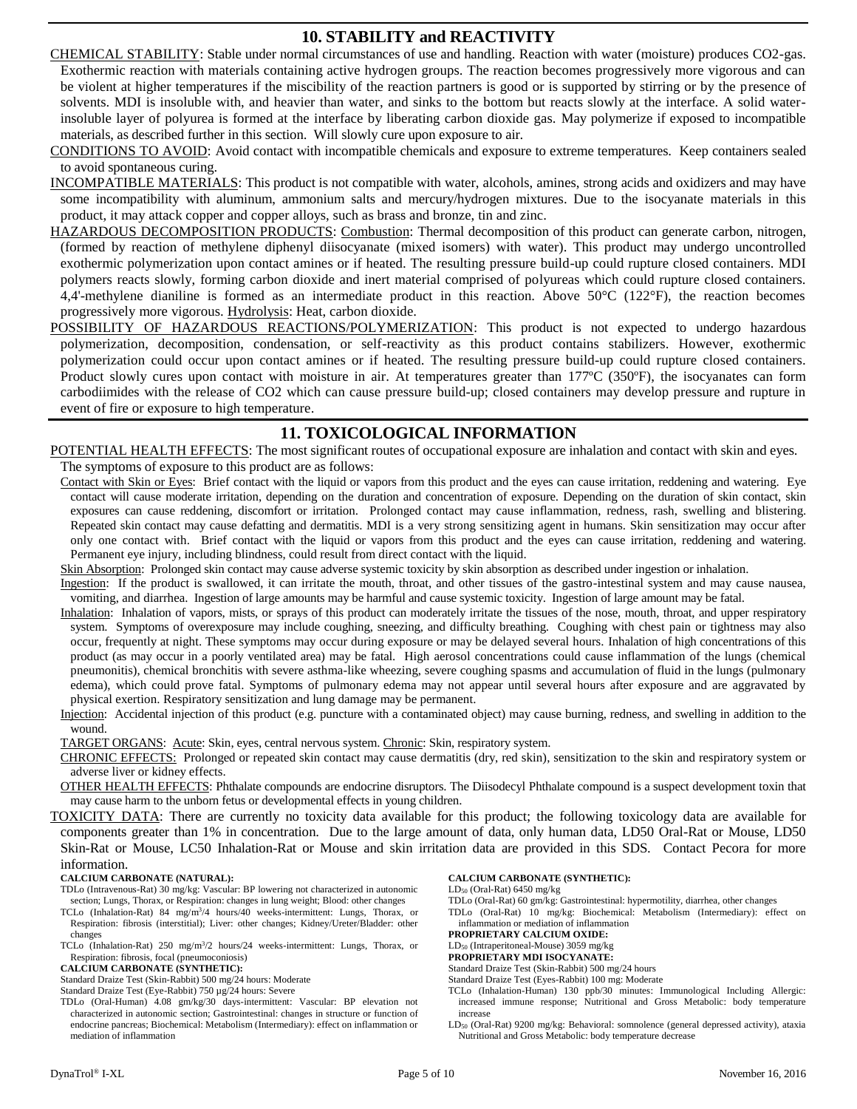# **10. STABILITY and REACTIVITY**

- CHEMICAL STABILITY: Stable under normal circumstances of use and handling. Reaction with water (moisture) produces CO2-gas. Exothermic reaction with materials containing active hydrogen groups. The reaction becomes progressively more vigorous and can be violent at higher temperatures if the miscibility of the reaction partners is good or is supported by stirring or by the presence of solvents. MDI is insoluble with, and heavier than water, and sinks to the bottom but reacts slowly at the interface. A solid waterinsoluble layer of polyurea is formed at the interface by liberating carbon dioxide gas. May polymerize if exposed to incompatible materials, as described further in this section. Will slowly cure upon exposure to air.
- CONDITIONS TO AVOID: Avoid contact with incompatible chemicals and exposure to extreme temperatures. Keep containers sealed to avoid spontaneous curing.
- INCOMPATIBLE MATERIALS: This product is not compatible with water, alcohols, amines, strong acids and oxidizers and may have some incompatibility with aluminum, ammonium salts and mercury/hydrogen mixtures. Due to the isocyanate materials in this product, it may attack copper and copper alloys, such as brass and bronze, tin and zinc.
- HAZARDOUS DECOMPOSITION PRODUCTS: Combustion: Thermal decomposition of this product can generate carbon, nitrogen, (formed by reaction of methylene diphenyl diisocyanate (mixed isomers) with water). This product may undergo uncontrolled exothermic polymerization upon contact amines or if heated. The resulting pressure build-up could rupture closed containers. MDI polymers reacts slowly, forming carbon dioxide and inert material comprised of polyureas which could rupture closed containers. 4,4'-methylene dianiline is formed as an intermediate product in this reaction. Above  $50^{\circ}$ C (122 $^{\circ}$ F), the reaction becomes progressively more vigorous. Hydrolysis: Heat, carbon dioxide.
- POSSIBILITY OF HAZARDOUS REACTIONS/POLYMERIZATION: This product is not expected to undergo hazardous polymerization, decomposition, condensation, or self-reactivity as this product contains stabilizers. However, exothermic polymerization could occur upon contact amines or if heated. The resulting pressure build-up could rupture closed containers. Product slowly cures upon contact with moisture in air. At temperatures greater than 177ºC (350ºF), the isocyanates can form carbodiimides with the release of CO2 which can cause pressure build-up; closed containers may develop pressure and rupture in event of fire or exposure to high temperature.

# **11. TOXICOLOGICAL INFORMATION**

POTENTIAL HEALTH EFFECTS: The most significant routes of occupational exposure are inhalation and contact with skin and eyes. The symptoms of exposure to this product are as follows:

Contact with Skin or Eyes: Brief contact with the liquid or vapors from this product and the eyes can cause irritation, reddening and watering. Eye contact will cause moderate irritation, depending on the duration and concentration of exposure. Depending on the duration of skin contact, skin exposures can cause reddening, discomfort or irritation. Prolonged contact may cause inflammation, redness, rash, swelling and blistering. Repeated skin contact may cause defatting and dermatitis. MDI is a very strong sensitizing agent in humans. Skin sensitization may occur after only one contact with. Brief contact with the liquid or vapors from this product and the eyes can cause irritation, reddening and watering. Permanent eye injury, including blindness, could result from direct contact with the liquid.

Skin Absorption: Prolonged skin contact may cause adverse systemic toxicity by skin absorption as described under ingestion or inhalation.

Ingestion: If the product is swallowed, it can irritate the mouth, throat, and other tissues of the gastro-intestinal system and may cause nausea, vomiting, and diarrhea. Ingestion of large amounts may be harmful and cause systemic toxicity. Ingestion of large amount may be fatal.

- Inhalation: Inhalation of vapors, mists, or sprays of this product can moderately irritate the tissues of the nose, mouth, throat, and upper respiratory system. Symptoms of overexposure may include coughing, sneezing, and difficulty breathing. Coughing with chest pain or tightness may also occur, frequently at night. These symptoms may occur during exposure or may be delayed several hours. Inhalation of high concentrations of this product (as may occur in a poorly ventilated area) may be fatal. High aerosol concentrations could cause inflammation of the lungs (chemical pneumonitis), chemical bronchitis with severe asthma-like wheezing, severe coughing spasms and accumulation of fluid in the lungs (pulmonary edema), which could prove fatal. Symptoms of pulmonary edema may not appear until several hours after exposure and are aggravated by physical exertion. Respiratory sensitization and lung damage may be permanent.
- Injection: Accidental injection of this product (e.g. puncture with a contaminated object) may cause burning, redness, and swelling in addition to the wound.

TARGET ORGANS: Acute: Skin, eyes, central nervous system. Chronic: Skin, respiratory system.

CHRONIC EFFECTS: Prolonged or repeated skin contact may cause dermatitis (dry, red skin), sensitization to the skin and respiratory system or adverse liver or kidney effects.

OTHER HEALTH EFFECTS: Phthalate compounds are endocrine disruptors. The Diisodecyl Phthalate compound is a suspect development toxin that may cause harm to the unborn fetus or developmental effects in young children.

TOXICITY DATA: There are currently no toxicity data available for this product; the following toxicology data are available for components greater than 1% in concentration. Due to the large amount of data, only human data, LD50 Oral-Rat or Mouse, LD50 Skin-Rat or Mouse, LC50 Inhalation-Rat or Mouse and skin irritation data are provided in this SDS. Contact Pecora for more information.

#### **CALCIUM CARBONATE (NATURAL):**

- TDLo (Intravenous-Rat) 30 mg/kg: Vascular: BP lowering not characterized in autonomic section; Lungs, Thorax, or Respiration: changes in lung weight; Blood: other changes
- TCLo (Inhalation-Rat) 84 mg/m<sup>3</sup>/4 hours/40 weeks-intermittent: Lungs, Thorax, or Respiration: fibrosis (interstitial); Liver: other changes; Kidney/Ureter/Bladder: other changes

TCLo (Inhalation-Rat) 250 mg/m<sup>3</sup>/2 hours/24 weeks-intermittent: Lungs, Thorax, or Respiration: fibrosis, focal (pneumoconiosis)

#### **CALCIUM CARBONATE (SYNTHETIC):**

Standard Draize Test (Skin-Rabbit) 500 mg/24 hours: Moderate

Standard Draize Test (Eye-Rabbit) 750 µg/24 hours: Severe

TDLo (Oral-Human) 4.08 gm/kg/30 days-intermittent: Vascular: BP elevation not characterized in autonomic section; Gastrointestinal: changes in structure or function of endocrine pancreas; Biochemical: Metabolism (Intermediary): effect on inflammation or mediation of inflammation

#### **CALCIUM CARBONATE (SYNTHETIC):**

LD<sup>50</sup> (Oral-Rat) 6450 mg/kg

TDLo (Oral-Rat) 60 gm/kg: Gastrointestinal: hypermotility, diarrhea, other changes

TDLo (Oral-Rat) 10 mg/kg: Biochemical: Metabolism (Intermediary): effect on inflammation or mediation of inflammation

#### **PROPRIETARY CALCIUM OXIDE:**

LD<sup>50</sup> (Intraperitoneal-Mouse) 3059 mg/kg **PROPRIETARY MDI ISOCYANATE:**

Standard Draize Test (Skin-Rabbit) 500 mg/24 hours

Standard Draize Test (Eyes-Rabbit) 100 mg: Moderate

- TCLo (Inhalation-Human) 130 ppb/30 minutes: Immunological Including Allergic: increased immune response; Nutritional and Gross Metabolic: body temperature increase
- LD<sup>50</sup> (Oral-Rat) 9200 mg/kg: Behavioral: somnolence (general depressed activity), ataxia Nutritional and Gross Metabolic: body temperature decrease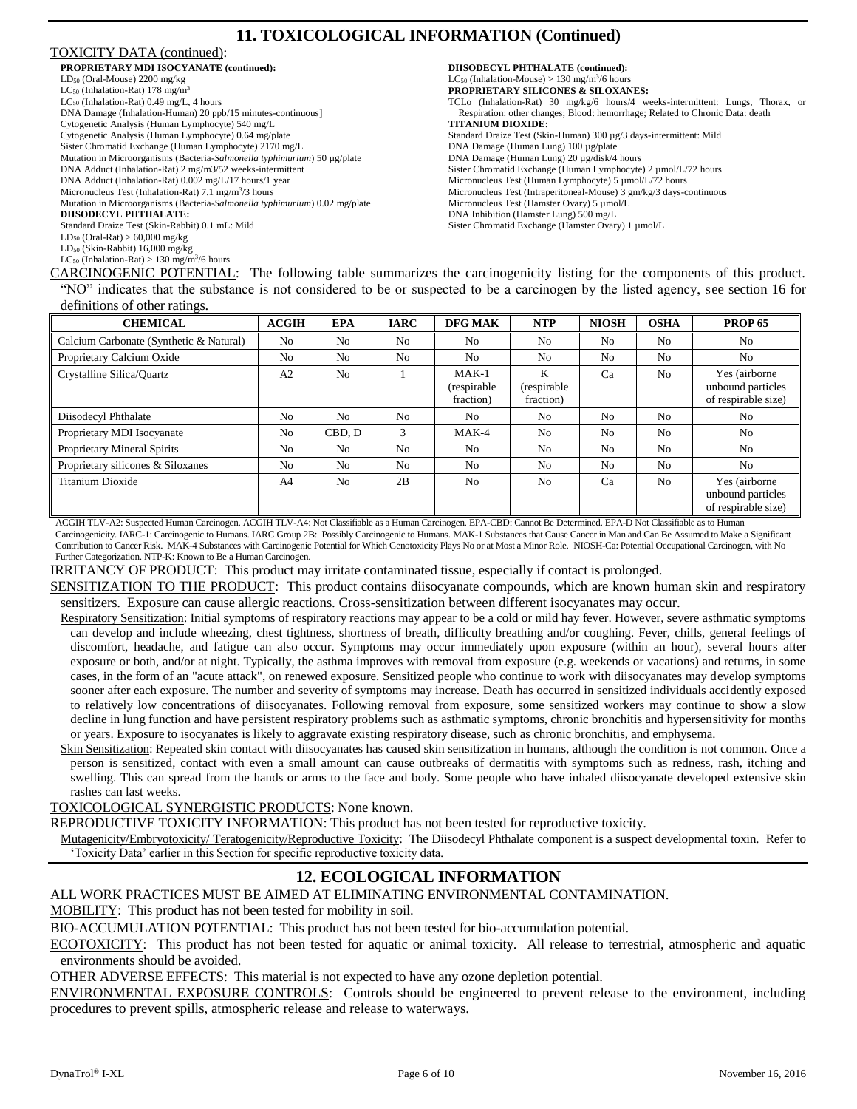# **11. TOXICOLOGICAL INFORMATION (Continued)**

#### TOXICITY DATA (continued):

| PROPRIETARY MDI ISOCYANATE (continued):                                    | <b>DIISODECYL PHTHALATE (co</b>        |
|----------------------------------------------------------------------------|----------------------------------------|
| $LD_{50}$ (Oral-Mouse) 2200 mg/kg                                          | $LC_{50}$ (Inhalation-Mouse) > 130 mg/ |
| $LC_{50}$ (Inhalation-Rat) 178 mg/m <sup>3</sup>                           | <b>PROPRIETARY SILICONES &amp;</b>     |
| $LC_{50}$ (Inhalation-Rat) 0.49 mg/L, 4 hours                              | TCLo (Inhalation-Rat) $30$ mg/k        |
| DNA Damage (Inhalation-Human) 20 ppb/15 minutes-continuous]                | Respiration: other changes; Bloo       |
| Cytogenetic Analysis (Human Lymphocyte) 540 mg/L                           | <b>TITANIUM DIOXIDE:</b>               |
| Cytogenetic Analysis (Human Lymphocyte) 0.64 mg/plate                      | Standard Draize Test (Skin-Human)      |
| Sister Chromatid Exchange (Human Lymphocyte) 2170 mg/L                     | DNA Damage (Human Lung) 100            |
| Mutation in Microorganisms (Bacteria-Salmonella typhimurium) 50 µg/plate   | DNA Damage (Human Lung) 20 µ           |
| DNA Adduct (Inhalation-Rat) 2 mg/m3/52 weeks-intermittent                  | Sister Chromatid Exchange (Humar       |
| DNA Adduct (Inhalation-Rat) 0.002 mg/L/17 hours/1 year                     | Micronucleus Test (Human Lymph         |
| Micronucleus Test (Inhalation-Rat) 7.1 mg/m <sup>3</sup> /3 hours          | Micronucleus Test (Intraperitoneal-    |
| Mutation in Microorganisms (Bacteria-Salmonella typhimurium) 0.02 mg/plate | Micronucleus Test (Hamster Ovary       |
| <b>DIISODECYL PHTHALATE:</b>                                               | DNA Inhibition (Hamster Lung) 50       |
| Standard Draize Test (Skin-Rabbit) 0.1 mL: Mild                            | Sister Chromatid Exchange (Hamst       |
| $LD_{50}$ (Oral-Rat) > 60,000 mg/kg                                        |                                        |
| $LD_{50}$ (Skin-Rabbit) 16,000 mg/kg                                       |                                        |
| $LC_{50}$ (Inhalation-Rat) > 130 mg/m <sup>3</sup> /6 hours                |                                        |

**DIISODECYL PHTHALATE (continued):**  $LC_{50}$  (Inhalation-Mouse) > 130 mg/m<sup>3</sup>  $\rm \gamma m^3$ 6 hours **PROPRIETARY SILICONES & SILOXANES:** g/6 hours/4 weeks-intermittent: Lungs, Thorax, or d: hemorrhage; Related to Chronic Data: death ) 300 µg/3 days-intermittent: Mild ug/plate g/disk/4 hours n Lymphocyte) 2 µmol/L/72 hours  $ocyte$ ) 5  $\mu$ mol/L/72 hours Mouse) 3 gm/kg/3 days-continuous  $) 5 \mu$ mol/L  $0 \text{ mg/L}$ er Ovary) 1 µmol/L

CARCINOGENIC POTENTIAL: The following table summarizes the carcinogenicity listing for the components of this product. "NO" indicates that the substance is not considered to be or suspected to be a carcinogen by the listed agency, see section 16 for definitions of other ratings.

| <b>CHEMICAL</b>                         | <b>ACGIH</b>   | <b>EPA</b>     | <b>IARC</b>    | DFG MAK                              | <b>NTP</b>                     | <b>NIOSH</b>   | <b>OSHA</b>    | <b>PROP 65</b>                                            |
|-----------------------------------------|----------------|----------------|----------------|--------------------------------------|--------------------------------|----------------|----------------|-----------------------------------------------------------|
| Calcium Carbonate (Synthetic & Natural) | N <sub>0</sub> | No             | N <sub>0</sub> | N <sub>0</sub>                       | No                             | No             | N <sub>0</sub> | No                                                        |
| Proprietary Calcium Oxide               | N <sub>0</sub> | No             | N <sub>0</sub> | N <sub>o</sub>                       | N <sub>0</sub>                 | No             | N <sub>0</sub> | No                                                        |
| Crystalline Silica/Quartz               | A <sub>2</sub> | N <sub>0</sub> |                | $MAK-1$<br>(respirable)<br>fraction) | K<br>(respirable)<br>fraction) | Ca             | No             | Yes (airborne<br>unbound particles<br>of respirable size) |
| Diisodecyl Phthalate                    | N <sub>o</sub> | No             | N <sub>0</sub> | N <sub>0</sub>                       | N <sub>0</sub>                 | N <sub>o</sub> | N <sub>0</sub> | No                                                        |
| Proprietary MDI Isocyanate              | N <sub>o</sub> | CBD. D         | 3              | $MAK-4$                              | No                             | N <sub>o</sub> | N <sub>0</sub> | No                                                        |
| Proprietary Mineral Spirits             | N <sub>o</sub> | No             | No             | N <sub>0</sub>                       | N <sub>0</sub>                 | N <sub>o</sub> | N <sub>0</sub> | No                                                        |
| Proprietary silicones & Siloxanes       | N <sub>o</sub> | N <sub>0</sub> | N <sub>0</sub> | N <sub>o</sub>                       | No                             | N <sub>o</sub> | N <sub>0</sub> | No                                                        |
| <b>Titanium Dioxide</b>                 | A <sub>4</sub> | N <sub>0</sub> | 2B             | No                                   | N <sub>0</sub>                 | Ca             | N <sub>o</sub> | Yes (airborne<br>unbound particles<br>of respirable size) |

ACGIH TLV-A2: Suspected Human Carcinogen. ACGIH TLV-A4: Not Classifiable as a Human Carcinogen. EPA-CBD: Cannot Be Determined. EPA-D Not Classifiable as to Human Carcinogenicity. IARC-1: Carcinogenic to Humans. IARC Group 2B: Possibly Carcinogenic to Humans. MAK-1 Substances that Cause Cancer in Man and Can Be Assumed to Make a Significant Contribution to Cancer Risk. MAK-4 Substances with Carcinogenic Potential for Which Genotoxicity Plays No or at Most a Minor Role. NIOSH-Ca: Potential Occupational Carcinogen, with No Further Categorization. NTP-K: Known to Be a Human Carcinogen.

IRRITANCY OF PRODUCT: This product may irritate contaminated tissue, especially if contact is prolonged.

SENSITIZATION TO THE PRODUCT: This product contains diisocyanate compounds, which are known human skin and respiratory sensitizers. Exposure can cause allergic reactions. Cross-sensitization between different isocyanates may occur.

Respiratory Sensitization: Initial symptoms of respiratory reactions may appear to be a cold or mild hay fever. However, severe asthmatic symptoms can develop and include wheezing, chest tightness, shortness of breath, difficulty breathing and/or coughing. Fever, chills, general feelings of discomfort, headache, and fatigue can also occur. Symptoms may occur immediately upon exposure (within an hour), several hours after exposure or both, and/or at night. Typically, the asthma improves with removal from exposure (e.g. weekends or vacations) and returns, in some cases, in the form of an "acute attack", on renewed exposure. Sensitized people who continue to work with diisocyanates may develop symptoms sooner after each exposure. The number and severity of symptoms may increase. Death has occurred in sensitized individuals accidently exposed to relatively low concentrations of diisocyanates. Following removal from exposure, some sensitized workers may continue to show a slow decline in lung function and have persistent respiratory problems such as asthmatic symptoms, chronic bronchitis and hypersensitivity for months or years. Exposure to isocyanates is likely to aggravate existing respiratory disease, such as chronic bronchitis, and emphysema.

Skin Sensitization: Repeated skin contact with diisocyanates has caused skin sensitization in humans, although the condition is not common. Once a person is sensitized, contact with even a small amount can cause outbreaks of dermatitis with symptoms such as redness, rash, itching and swelling. This can spread from the hands or arms to the face and body. Some people who have inhaled diisocyanate developed extensive skin rashes can last weeks.

#### TOXICOLOGICAL SYNERGISTIC PRODUCTS: None known.

REPRODUCTIVE TOXICITY INFORMATION: This product has not been tested for reproductive toxicity.

Mutagenicity/Embryotoxicity/ Teratogenicity/Reproductive Toxicity: The Diisodecyl Phthalate component is a suspect developmental toxin. Refer to 'Toxicity Data' earlier in this Section for specific reproductive toxicity data.

# **12. ECOLOGICAL INFORMATION**

ALL WORK PRACTICES MUST BE AIMED AT ELIMINATING ENVIRONMENTAL CONTAMINATION.

MOBILITY: This product has not been tested for mobility in soil.

BIO-ACCUMULATION POTENTIAL: This product has not been tested for bio-accumulation potential.

ECOTOXICITY: This product has not been tested for aquatic or animal toxicity. All release to terrestrial, atmospheric and aquatic environments should be avoided.

OTHER ADVERSE EFFECTS: This material is not expected to have any ozone depletion potential.

ENVIRONMENTAL EXPOSURE CONTROLS: Controls should be engineered to prevent release to the environment, including procedures to prevent spills, atmospheric release and release to waterways.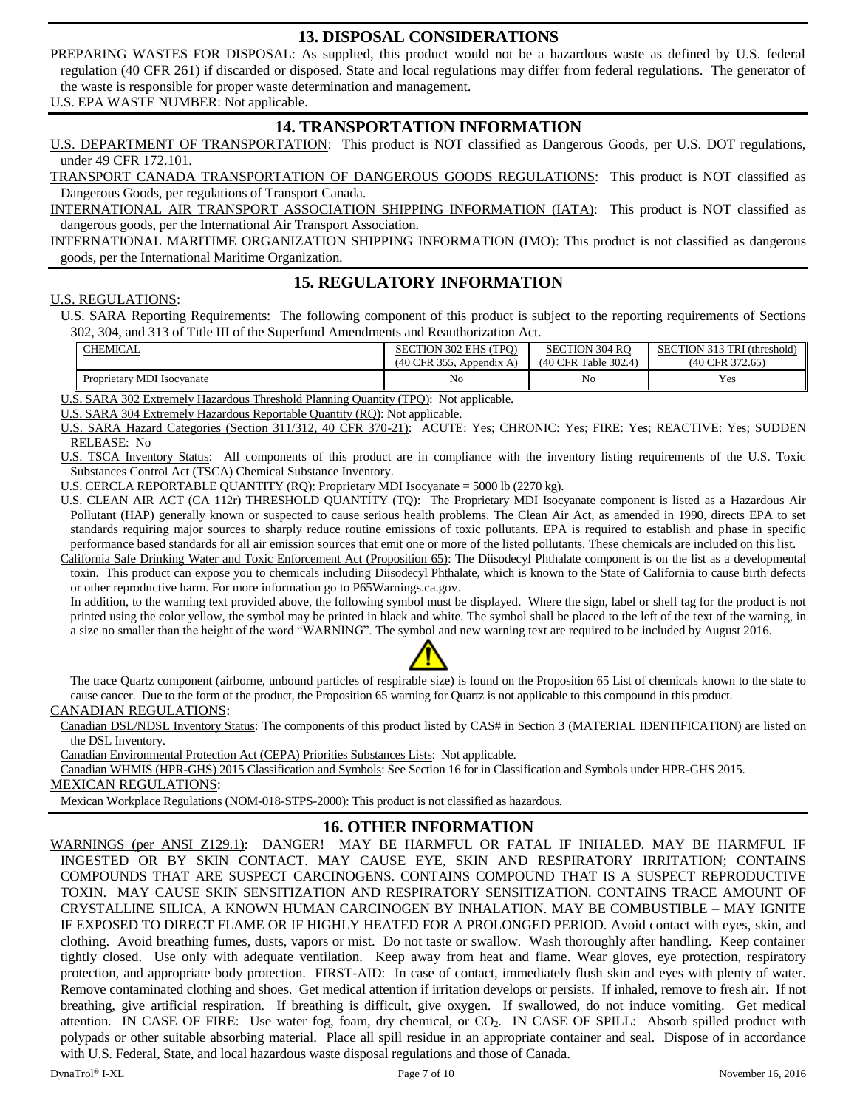# **13. DISPOSAL CONSIDERATIONS**

PREPARING WASTES FOR DISPOSAL: As supplied, this product would not be a hazardous waste as defined by U.S. federal regulation (40 CFR 261) if discarded or disposed. State and local regulations may differ from federal regulations. The generator of the waste is responsible for proper waste determination and management.

U.S. EPA WASTE NUMBER: Not applicable.

# **14. TRANSPORTATION INFORMATION**

U.S. DEPARTMENT OF TRANSPORTATION: This product is NOT classified as Dangerous Goods, per U.S. DOT regulations, under 49 CFR 172.101.

TRANSPORT CANADA TRANSPORTATION OF DANGEROUS GOODS REGULATIONS: This product is NOT classified as Dangerous Goods, per regulations of Transport Canada.

INTERNATIONAL AIR TRANSPORT ASSOCIATION SHIPPING INFORMATION (IATA): This product is NOT classified as dangerous goods, per the International Air Transport Association.

INTERNATIONAL MARITIME ORGANIZATION SHIPPING INFORMATION (IMO): This product is not classified as dangerous goods, per the International Maritime Organization.

**15. REGULATORY INFORMATION**

#### U.S. REGULATIONS:

U.S. SARA Reporting Requirements: The following component of this product is subject to the reporting requirements of Sections 302, 304, and 313 of Title III of the Superfund Amendments and Reauthorization Act.

| <b>CHEMICAL</b>            | <b>SECTION 302 EHS (TPO)</b> | <b>SECTION 304 RO</b> | CTION 313 TRI (threshold)<br>SE <sub>C</sub> |  |
|----------------------------|------------------------------|-----------------------|----------------------------------------------|--|
|                            | $(40$ CFR 355, Appendix A)   | (40 CFR Table 302.4)  | (40 CFR 372.65)                              |  |
| Proprietary MDI Isocyanate | No                           | No                    | $V_{\alpha}$<br>1 C.S                        |  |

U.S. SARA 302 Extremely Hazardous Threshold Planning Quantity (TPQ): Not applicable.

U.S. SARA 304 Extremely Hazardous Reportable Quantity (RQ): Not applicable.

U.S. SARA Hazard Categories (Section 311/312, 40 CFR 370-21): ACUTE: Yes; CHRONIC: Yes; FIRE: Yes; REACTIVE: Yes; SUDDEN RELEASE: No

U.S. TSCA Inventory Status: All components of this product are in compliance with the inventory listing requirements of the U.S. Toxic Substances Control Act (TSCA) Chemical Substance Inventory.

U.S. CERCLA REPORTABLE QUANTITY (RQ): Proprietary MDI Isocyanate = 5000 lb (2270 kg).

U.S. CLEAN AIR ACT (CA 112r) THRESHOLD QUANTITY (TQ): The Proprietary MDI Isocyanate component is listed as a Hazardous Air Pollutant (HAP) generally known or suspected to cause serious health problems. The Clean Air Act, as amended in 1990, directs EPA to set standards requiring major sources to sharply reduce routine emissions of toxic pollutants. EPA is required to establish and phase in specific performance based standards for all air emission sources that emit one or more of the listed pollutants. These chemicals are included on this list.

California Safe Drinking Water and Toxic Enforcement Act (Proposition 65): The Diisodecyl Phthalate component is on the list as a developmental toxin. This product can expose you to chemicals including Diisodecyl Phthalate, which is known to the State of California to cause birth defects or other reproductive harm. For more information go to P65Warnings.ca.gov.

In addition, to the warning text provided above, the following symbol must be displayed. Where the sign, label or shelf tag for the product is not printed using the color yellow, the symbol may be printed in black and white. The symbol shall be placed to the left of the text of the warning, in a size no smaller than the height of the word "WARNING". The symbol and new warning text are required to be included by August 2016.



The trace Quartz component (airborne, unbound particles of respirable size) is found on the Proposition 65 List of chemicals known to the state to cause cancer. Due to the form of the product, the Proposition 65 warning for Quartz is not applicable to this compound in this product.

#### CANADIAN REGULATIONS:

Canadian DSL/NDSL Inventory Status: The components of this product listed by CAS# in Section 3 (MATERIAL IDENTIFICATION) are listed on the DSL Inventory.

Canadian Environmental Protection Act (CEPA) Priorities Substances Lists: Not applicable.

Canadian WHMIS (HPR-GHS) 2015 Classification and Symbols: See Section 16 for in Classification and Symbols under HPR-GHS 2015.

MEXICAN REGULATIONS:

Mexican Workplace Regulations (NOM-018-STPS-2000): This product is not classified as hazardous.

# **16. OTHER INFORMATION**

WARNINGS (per ANSI Z129.1): DANGER! MAY BE HARMFUL OR FATAL IF INHALED. MAY BE HARMFUL IF INGESTED OR BY SKIN CONTACT. MAY CAUSE EYE, SKIN AND RESPIRATORY IRRITATION; CONTAINS COMPOUNDS THAT ARE SUSPECT CARCINOGENS. CONTAINS COMPOUND THAT IS A SUSPECT REPRODUCTIVE TOXIN. MAY CAUSE SKIN SENSITIZATION AND RESPIRATORY SENSITIZATION. CONTAINS TRACE AMOUNT OF CRYSTALLINE SILICA, A KNOWN HUMAN CARCINOGEN BY INHALATION. MAY BE COMBUSTIBLE – MAY IGNITE IF EXPOSED TO DIRECT FLAME OR IF HIGHLY HEATED FOR A PROLONGED PERIOD. Avoid contact with eyes, skin, and clothing. Avoid breathing fumes, dusts, vapors or mist. Do not taste or swallow. Wash thoroughly after handling. Keep container tightly closed. Use only with adequate ventilation. Keep away from heat and flame. Wear gloves, eye protection, respiratory protection, and appropriate body protection. FIRST-AID: In case of contact, immediately flush skin and eyes with plenty of water. Remove contaminated clothing and shoes. Get medical attention if irritation develops or persists. If inhaled, remove to fresh air. If not breathing, give artificial respiration. If breathing is difficult, give oxygen. If swallowed, do not induce vomiting. Get medical attention. IN CASE OF FIRE: Use water fog, foam, dry chemical, or CO<sub>2</sub>. IN CASE OF SPILL: Absorb spilled product with polypads or other suitable absorbing material. Place all spill residue in an appropriate container and seal. Dispose of in accordance with U.S. Federal, State, and local hazardous waste disposal regulations and those of Canada.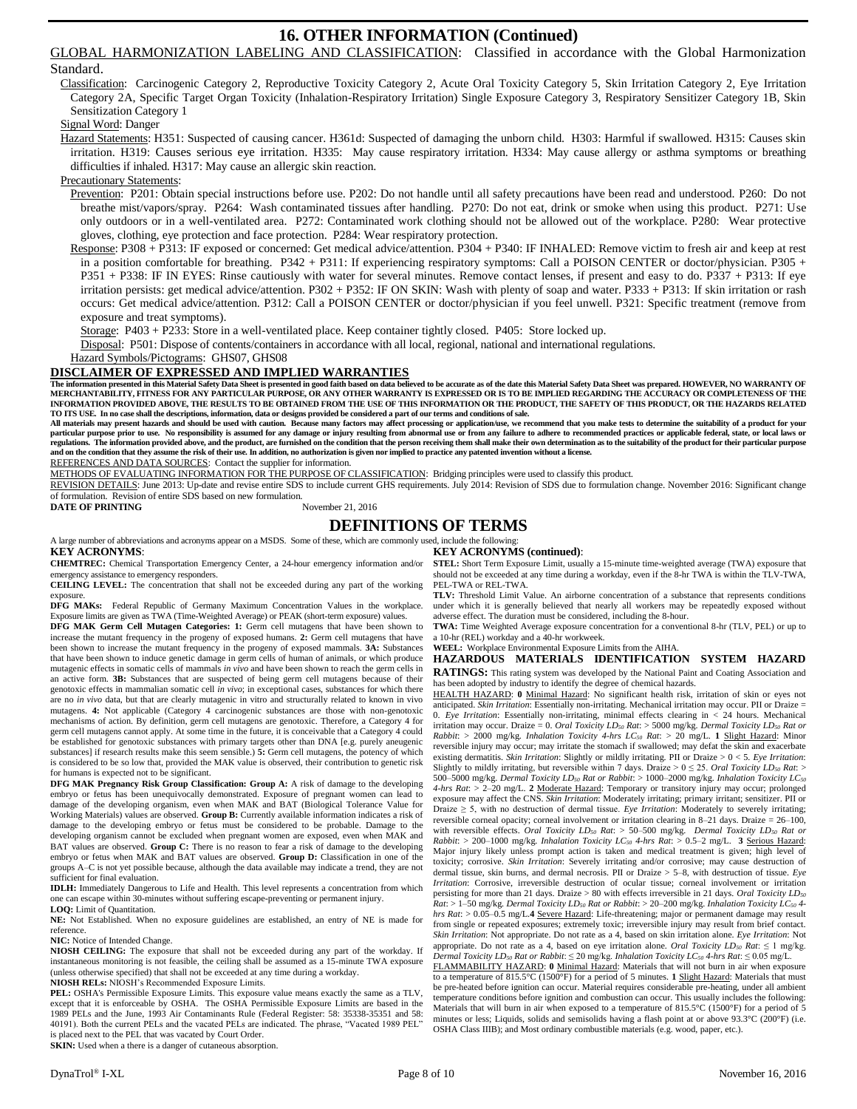# **16. OTHER INFORMATION (Continued)**

GLOBAL HARMONIZATION LABELING AND CLASSIFICATION: Classified in accordance with the Global Harmonization

#### Standard.

Classification: Carcinogenic Category 2, Reproductive Toxicity Category 2, Acute Oral Toxicity Category 5, Skin Irritation Category 2, Eye Irritation Category 2A, Specific Target Organ Toxicity (Inhalation-Respiratory Irritation) Single Exposure Category 3, Respiratory Sensitizer Category 1B, Skin Sensitization Category 1

#### Signal Word: Danger

Hazard Statements: H351: Suspected of causing cancer. H361d: Suspected of damaging the unborn child. H303: Harmful if swallowed. H315: Causes skin irritation. H319: Causes serious eye irritation. H335: May cause respiratory irritation. H334: May cause allergy or asthma symptoms or breathing difficulties if inhaled. H317: May cause an allergic skin reaction.

#### Precautionary Statements:

Prevention: P201: Obtain special instructions before use. P202: Do not handle until all safety precautions have been read and understood. P260: Do not breathe mist/vapors/spray. P264: Wash contaminated tissues after handling. P270: Do not eat, drink or smoke when using this product. P271: Use only outdoors or in a well-ventilated area. P272: Contaminated work clothing should not be allowed out of the workplace. P280: Wear protective gloves, clothing, eye protection and face protection. P284: Wear respiratory protection.

Response: P308 + P313: IF exposed or concerned: Get medical advice/attention. P304 + P340: IF INHALED: Remove victim to fresh air and keep at rest in a position comfortable for breathing. P342 + P311: If experiencing respiratory symptoms: Call a POISON CENTER or doctor/physician. P305 + P351 + P338: IF IN EYES: Rinse cautiously with water for several minutes. Remove contact lenses, if present and easy to do. P337 + P313: If eye irritation persists: get medical advice/attention. P302 + P352: IF ON SKIN: Wash with plenty of soap and water. P333 + P313: If skin irritation or rash occurs: Get medical advice/attention. P312: Call a POISON CENTER or doctor/physician if you feel unwell. P321: Specific treatment (remove from exposure and treat symptoms).

Storage: P403 + P233: Store in a well-ventilated place. Keep container tightly closed. P405: Store locked up.

Disposal: P501: Dispose of contents/containers in accordance with all local, regional, national and international regulations.

Hazard Symbols/Pictograms: GHS07, GHS08

#### **DISCLAIMER OF EXPRESSED AND IMPLIED WARRANTIES**

The information presented in this Material Safety Data Sheet is presented in good faith based on data believed to be accurate as of the date this Material Safety Data Sheet was prepared. HOWEVER, NO WARRANTY OF<br>MERCHANTABI **TO ITS USE. In no case shall the descriptions, information, data or designs provided be considered a part of our terms and conditions of sale.** 

All materials may present hazards and should be used with caution. Because many factors may affect processing or application/use, we recommend that you make tests to determine the suitability of a product for your particul

REFERENCES AND DATA SOURCES: Contact the supplier for information. METHODS OF EVALUATING INFORMATION FOR THE PURPOSE OF CLASSIFICATION: Bridging principles were used to classify this product.

REVISION DETAILS: June 2013: Up-date and revise entire SDS to include current GHS requirements. July 2014: Revision of SDS due to formulation change. November 2016: Significant change

of formulation. Revision of entire SDS based on new formulation.<br> **DATE OF PRINTING** November 21, 2016 **DATE OF PRINTING** 

# **DEFINITIONS OF TERMS**

A large number of abbreviations and acronyms appear on a MSDS. Some of these, which are commonly used, include the following: **KEY ACRONYMS**:

**CHEMTREC:** Chemical Transportation Emergency Center, a 24-hour emergency information and/or emergency assistance to emergency responders.

**CEILING LEVEL:** The concentration that shall not be exceeded during any part of the working exposure.

**DFG MAKs:** Federal Republic of Germany Maximum Concentration Values in the workplace. Exposure limits are given as TWA (Time-Weighted Average) or PEAK (short-term exposure) values.

**DFG MAK Germ Cell Mutagen Categories: 1:** Germ cell mutagens that have been shown to increase the mutant frequency in the progeny of exposed humans. **2:** Germ cell mutagens that have been shown to increase the mutant frequency in the progeny of exposed mammals. **3A:** Substances that have been shown to induce genetic damage in germ cells of human of animals, or which produce mutagenic effects in somatic cells of mammals *in vivo* and have been shown to reach the germ cells in an active form. **3B:** Substances that are suspected of being germ cell mutagens because of their genotoxic effects in mammalian somatic cell *in vivo*; in exceptional cases, substances for which there are no *in vivo* data, but that are clearly mutagenic in vitro and structurally related to known in vivo mutagens. **4:** Not applicable (Category 4 carcinogenic substances are those with non-genotoxic mechanisms of action. By definition, germ cell mutagens are genotoxic. Therefore, a Category 4 for germ cell mutagens cannot apply. At some time in the future, it is conceivable that a Category 4 could be established for genotoxic substances with primary targets other than DNA [e.g. purely aneugenic substances] if research results make this seem sensible.) **5:** Germ cell mutagens, the potency of which is considered to be so low that, provided the MAK value is observed, their contribution to genetic risk for humans is expected not to be significant.

**DFG MAK Pregnancy Risk Group Classification: Group A:** A risk of damage to the developing embryo or fetus has been unequivocally demonstrated. Exposure of pregnant women can lead to damage of the developing organism, even when MAK and BAT (Biological Tolerance Value for Working Materials) values are observed. **Group B:** Currently available information indicates a risk of damage to the developing embryo or fetus must be considered to be probable. Damage to the developing organism cannot be excluded when pregnant women are exposed, even when MAK and BAT values are observed. **Group C:** There is no reason to fear a risk of damage to the developing embryo or fetus when MAK and BAT values are observed. **Group D:** Classification in one of the groups A–C is not yet possible because, although the data available may indicate a trend, they are not sufficient for final evaluation.

**IDLH:** Immediately Dangerous to Life and Health. This level represents a concentration from which one can escape within 30-minutes without suffering escape-preventing or permanent injury. **LOQ:** Limit of Quantitation.

**NE:** Not Established. When no exposure guidelines are established, an entry of NE is made for reference.

#### **NIC:** Notice of Intended Change.

**NIOSH CEILING:** The exposure that shall not be exceeded during any part of the workday. If instantaneous monitoring is not feasible, the ceiling shall be assumed as a 15-minute TWA exposure (unless otherwise specified) that shall not be exceeded at any time during a workday.

**NIOSH RELs:** NIOSH's Recommended Exposure Limits.

**PEL:** OSHA's Permissible Exposure Limits. This exposure value means exactly the same as a TLV, except that it is enforceable by OSHA. The OSHA Permissible Exposure Limits are based in the 1989 PELs and the June, 1993 Air Contaminants Rule (Federal Register: 58: 35338-35351 and 58: 40191). Both the current PELs and the vacated PELs are indicated. The phrase, "Vacated 1989 PEL" is placed next to the PEL that was vacated by Court Order.

**SKIN:** Used when a there is a danger of cutaneous absorption.

#### **KEY ACRONYMS (continued)**:

**STEL:** Short Term Exposure Limit, usually a 15-minute time-weighted average (TWA) exposure that should not be exceeded at any time during a workday, even if the 8-hr TWA is within the TLV-TWA, PEL-TWA or REL-TWA.

**TLV:** Threshold Limit Value. An airborne concentration of a substance that represents conditions under which it is generally believed that nearly all workers may be repeatedly exposed without adverse effect. The duration must be considered, including the 8-hour.

**TWA:** Time Weighted Average exposure concentration for a conventional 8-hr (TLV, PEL) or up to a 10-hr (REL) workday and a 40-hr workweek.

#### **WEEL:** Workplace Environmental Exposure Limits from the AIHA.

**HAZARDOUS MATERIALS IDENTIFICATION SYSTEM HAZARD RATINGS:** This rating system was developed by the National Paint and Coating Association and has been adopted by industry to identify the degree of chemical hazards.

HEALTH HAZARD: **0** Minimal Hazard: No significant health risk, irritation of skin or eyes not anticipated. *Skin Irritation*: Essentially non-irritating. Mechanical irritation may occur. PII or Draize = 0. *Eye Irritation*: Essentially non-irritating, minimal effects clearing in < 24 hours. Mechanical irritation may occur. Draize = 0. *Oral Toxicity LD<sup>50</sup> Rat*: > 5000 mg/kg. *Dermal Toxicity LD<sup>50</sup> Rat or Rabbit*: > 2000 mg/kg. *Inhalation Toxicity 4-hrs LC<sup>50</sup> Rat*: > 20 mg/L. **1** Slight Hazard: Minor reversible injury may occur; may irritate the stomach if swallowed; may defat the skin and exacerbate existing dermatitis. *Skin Irritation*: Slightly or mildly irritating. PII or Draize > 0 < 5. *Eye Irritation*: Slightly to mildly irritating, but reversible within 7 days. Draize >  $0 \le 25$ . *Oral Toxicity LD<sub>50</sub> Rat*: > 500–5000 mg/kg. *Dermal Toxicity LD<sup>50</sup> Rat or Rabbit*: > 1000–2000 mg/kg. *Inhalation Toxicity LC<sup>50</sup> 4-hrs Rat*: > 2–20 mg/L. **2** Moderate Hazard: Temporary or transitory injury may occur; prolonged exposure may affect the CNS. *Skin Irritation*: Moderately irritating; primary irritant; sensitizer. PII or Draize  $\geq$  5, with no destruction of dermal tissue. *Eye Irritation*: Moderately to severely irritating; reversible corneal opacity; corneal involvement or irritation clearing in 8–21 days. Draize = 26–100, with reversible effects. *Oral Toxicity LD<sup>50</sup> Rat*: > 50–500 mg/kg. *Dermal Toxicity LD<sup>50</sup> Rat or Rabbit*: > 200–1000 mg/kg. *Inhalation Toxicity LC<sup>50</sup> 4-hrs Rat*: > 0.5–2 mg/L. **3** Serious Hazard: Major injury likely unless prompt action is taken and medical treatment is given; high level of toxicity; corrosive. *Skin Irritation*: Severely irritating and/or corrosive; may cause destruction of dermal tissue, skin burns, and dermal necrosis. PII or Draize > 5–8, with destruction of tissue. *Eye Irritation*: Corrosive, irreversible destruction of ocular tissue; corneal involvement or irritation persisting for more than 21 days. Draize > 80 with effects irreversible in 21 days. *Oral Toxicity LD<sup>50</sup> Rat*: > 1–50 mg/kg. *Dermal Toxicity LD<sup>50</sup> Rat or Rabbit*: > 20–200 mg/kg. *Inhalation Toxicity LC<sup>50</sup> 4 hrs Rat*: > 0.05–0.5 mg/L.**4** Severe Hazard: Life-threatening; major or permanent damage may result from single or repeated exposures; extremely toxic; irreversible injury may result from brief contact. *Skin Irritation*: Not appropriate. Do not rate as a 4, based on skin irritation alone. *Eye Irritation*: Not appropriate. Do not rate as a 4, based on eye irritation alone. *Oral Toxicity LD*<sup>50</sup> *Rat*:  $\leq 1$  mg/kg. *Dermal Toxicity LD<sup>50</sup> Rat or Rabbit*: ≤ 20 mg/kg. *Inhalation Toxicity LC<sup>50</sup> 4-hrs Rat*: ≤ 0.05 mg/L. FLAMMABILITY HAZARD: **0** Minimal Hazard: Materials that will not burn in air when exposure to a temperature of 815.5°C (1500°F) for a period of 5 minutes. **1** Slight Hazard: Materials that must be pre-heated before ignition can occur. Material requires considerable pre-heating, under all ambient temperature conditions before ignition and combustion can occur. This usually includes the following:

Materials that will burn in air when exposed to a temperature of 815.5°C (1500°F) for a period of 5 minutes or less; Liquids, solids and semisolids having a flash point at or above 93.3°C (200°F) (i.e. OSHA Class IIIB); and Most ordinary combustible materials (e.g. wood, paper, etc.).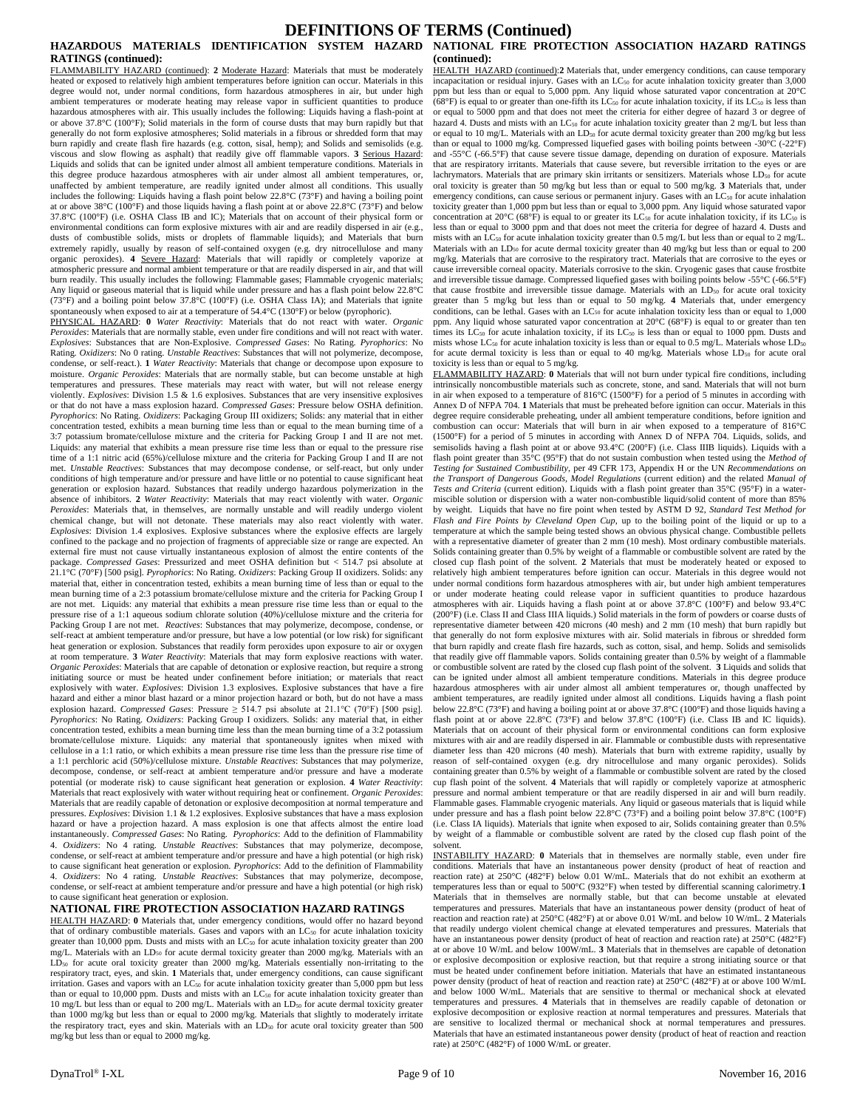## **DEFINITIONS OF TERMS (Continued)**

# **RATINGS (continued):**

FLAMMABILITY HAZARD (continued): **2** Moderate Hazard: Materials that must be moderately heated or exposed to relatively high ambient temperatures before ignition can occur. Materials in this degree would not, under normal conditions, form hazardous atmospheres in air, but under high ambient temperatures or moderate heating may release vapor in sufficient quantities to produce hazardous atmospheres with air. This usually includes the following: Liquids having a flash-point at or above 37.8°C (100°F); Solid materials in the form of course dusts that may burn rapidly but that generally do not form explosive atmospheres; Solid materials in a fibrous or shredded form that may burn rapidly and create flash fire hazards (e.g. cotton, sisal, hemp); and Solids and semisolids (e.g. viscous and slow flowing as asphalt) that readily give off flammable vapors. **3** Serious Hazard: Liquids and solids that can be ignited under almost all ambient temperature conditions. Materials in this degree produce hazardous atmospheres with air under almost all ambient temperatures, or, unaffected by ambient temperature, are readily ignited under almost all conditions. This usually includes the following: Liquids having a flash point below 22.8°C (73°F) and having a boiling point at or above 38°C (100°F) and those liquids having a flash point at or above 22.8°C (73°F) and below 37.8°C (100°F) (i.e. OSHA Class IB and IC); Materials that on account of their physical form or environmental conditions can form explosive mixtures with air and are readily dispersed in air (e.g., dusts of combustible solids, mists or droplets of flammable liquids); and Materials that burn extremely rapidly, usually by reason of self-contained oxygen (e.g. dry nitrocellulose and many organic peroxides). 4 Severe Hazard: Materials that will rapidly or completely vaporize at atmospheric pressure and normal ambient temperature or that are readily dispersed in air, and that will burn readily. This usually includes the following: Flammable gases; Flammable cryogenic materials; Any liquid or gaseous material that is liquid while under pressure and has a flash point below 22.8°C (73°F) and a boiling point below 37.8°C (100°F) (i.e. OSHA Class IA); and Materials that ignite spontaneously when exposed to air at a temperature of 54.4°C (130°F) or below (pyrophoric).

PHYSICAL HAZARD: **0** *Water Reactivity*: Materials that do not react with water. *Organic Peroxides*: Materials that are normally stable, even under fire conditions and will not react with water. *Explosives*: Substances that are Non-Explosive. *Compressed Gases*: No Rating. *Pyrophorics*: No Rating. *Oxidizers*: No 0 rating. *Unstable Reactives*: Substances that will not polymerize, decompose, condense, or self-react.). **1** *Water Reactivity*: Materials that change or decompose upon exposure to moisture. *Organic Peroxides*: Materials that are normally stable, but can become unstable at high temperatures and pressures. These materials may react with water, but will not release energy violently. *Explosives*: Division 1.5 & 1.6 explosives. Substances that are very insensitive explosives or that do not have a mass explosion hazard. *Compressed Gases*: Pressure below OSHA definition. *Pyrophorics*: No Rating. *Oxidizers*: Packaging Group III oxidizers; Solids: any material that in either concentration tested, exhibits a mean burning time less than or equal to the mean burning time of a 3:7 potassium bromate/cellulose mixture and the criteria for Packing Group I and II are not met. Liquids: any material that exhibits a mean pressure rise time less than or equal to the pressure rise time of a 1:1 nitric acid (65%)/cellulose mixture and the criteria for Packing Group I and II are not met. *Unstable Reactives*: Substances that may decompose condense, or self-react, but only under conditions of high temperature and/or pressure and have little or no potential to cause significant heat generation or explosion hazard. Substances that readily undergo hazardous polymerization in the absence of inhibitors. **2** *Water Reactivity*: Materials that may react violently with water. *Organic Peroxides*: Materials that, in themselves, are normally unstable and will readily undergo violent chemical change, but will not detonate. These materials may also react violently with water. *Explosives*: Division 1.4 explosives. Explosive substances where the explosive effects are largely confined to the package and no projection of fragments of appreciable size or range are expected. An external fire must not cause virtually instantaneous explosion of almost the entire contents of the package. *Compressed Gases*: Pressurized and meet OSHA definition but < 514.7 psi absolute at 21.1°C (70°F) [500 psig]. *Pyrophorics*: No Rating. *Oxidizers*: Packing Group II oxidizers. Solids: any material that, either in concentration tested, exhibits a mean burning time of less than or equal to the mean burning time of a 2:3 potassium bromate/cellulose mixture and the criteria for Packing Group I are not met. Liquids: any material that exhibits a mean pressure rise time less than or equal to the pressure rise of a 1:1 aqueous sodium chlorate solution (40%)/cellulose mixture and the criteria for Packing Group I are not met. *Reactives*: Substances that may polymerize, decompose, condense, or self-react at ambient temperature and/or pressure, but have a low potential (or low risk) for significant heat generation or explosion. Substances that readily form peroxides upon exposure to air or oxygen at room temperature. **3** *Water Reactivity*: Materials that may form explosive reactions with water. *Organic Peroxides*: Materials that are capable of detonation or explosive reaction, but require a strong initiating source or must be heated under confinement before initiation; or materials that react explosively with water. *Explosives*: Division 1.3 explosives. Explosive substances that have a fire hazard and either a minor blast hazard or a minor projection hazard or both, but do not have a mass explosion hazard. *Compressed Gases*: Pressure ≥ 514.7 psi absolute at 21.1°C (70°F) [500 psig]. *Pyrophorics*: No Rating. *Oxidizers*: Packing Group I oxidizers. Solids: any material that, in either concentration tested, exhibits a mean burning time less than the mean burning time of a 3:2 potassium bromate/cellulose mixture. Liquids: any material that spontaneously ignites when mixed with cellulose in a 1:1 ratio, or which exhibits a mean pressure rise time less than the pressure rise time of a 1:1 perchloric acid (50%)/cellulose mixture. *Unstable Reactives*: Substances that may polymerize, decompose, condense, or self-react at ambient temperature and/or pressure and have a moderate potential (or moderate risk) to cause significant heat generation or explosion. **4** *Water Reactivity*: Materials that react explosively with water without requiring heat or confinement. *Organic Peroxides*: Materials that are readily capable of detonation or explosive decomposition at normal temperature and pressures. *Explosives*: Division 1.1 & 1.2 explosives. Explosive substances that have a mass explosion hazard or have a projection hazard. A mass explosion is one that affects almost the entire load instantaneously. *Compressed Gases*: No Rating. *Pyrophorics*: Add to the definition of Flammability 4. *Oxidizers*: No 4 rating. *Unstable Reactives*: Substances that may polymerize, decompose, condense, or self-react at ambient temperature and/or pressure and have a high potential (or high risk) to cause significant heat generation or explosion. *Pyrophorics*: Add to the definition of Flammability 4. *Oxidizers*: No 4 rating. *Unstable Reactives*: Substances that may polymerize, decompose, condense, or self-react at ambient temperature and/or pressure and have a high potential (or high risk) to cause significant heat generation or explosion.

#### **NATIONAL FIRE PROTECTION ASSOCIATION HAZARD RATINGS**

HEALTH HAZARD: **0** Materials that, under emergency conditions, would offer no hazard beyond that of ordinary combustible materials. Gases and vapors with an LC<sub>50</sub> for acute inhalation toxicity greater than 10,000 ppm. Dusts and mists with an LC<sub>50</sub> for acute inhalation toxicity greater than 200 mg/L. Materials with an LD<sub>50</sub> for acute dermal toxicity greater than 2000 mg/kg. Materials with an<br>LD<sub>50</sub> for acute oral toxicity greater than 2000 mg/kg. Materials essentially non-irritating to the<br>respiratory tract, eye irritation. Gases and vapors with an LC<sub>50</sub> for acute inhalation toxicity greater than 5,000 ppm but less than or equal to 10,000 ppm. Dusts and mists with an  $LC_{50}$  for acute inhalation toxicity greater than 10 mg/L but less than or equal to 200 mg/L. Materials with an LD<sub>50</sub> for acute dermal toxicity greater than 1000 mg/kg but less than or equal to 2000 mg/kg. Materials that slightly to moderately irritate the respiratory tract, eyes and skin. Materials with an  $LD_{50}$  for acute oral toxicity greater than 500 mg/kg but less than or equal to 2000 mg/kg.

#### **HAZARDOUS MATERIALS IDENTIFICATION SYSTEM HAZARD NATIONAL FIRE PROTECTION ASSOCIATION HAZARD RATINGS (continued):**

HEALTH HAZARD (continued):**2** Materials that, under emergency conditions, can cause temporary incapacitation or residual injury. Gases with an  $LC_{50}$  for acute inhalation toxicity greater than 3,000 ppm but less than or equal to 5,000 ppm. Any liquid whose saturated vapor concentration at 20°C (68°F) is equal to or greater than one-fifth its  $LC_{50}$  for acute inhalation toxicity, if its  $LC_{50}$  is less than or equal to 5000 ppm and that does not meet the criteria for either degree of hazard 3 or degree of hazard 4. Dusts and mists with an LC<sub>50</sub> for acute inhalation toxicity greater than 2 mg/L but less than or equal to 10 mg/L. Materials with an LD<sub>50</sub> for acute dermal toxicity greater than 200 mg/kg but less than or equal to 1000 mg/kg. Compressed liquefied gases with boiling points between -30°C (-22°F) and -55°C (-66.5°F) that cause severe tissue damage, depending on duration of exposure. Materials that are respiratory irritants. Materials that cause severe, but reversible irritation to the eyes or are lachrymators. Materials that are primary skin irritants or sensitizers. Materials whose LD<sub>50</sub> for acute oral toxicity is greater than 50 mg/kg but less than or equal to 500 mg/kg. **3** Materials that, under emergency conditions, can cause serious or permanent injury. Gases with an  $LC_{50}$  for acute inhalation toxicity greater than 1,000 ppm but less than or equal to 3,000 ppm. Any liquid whose saturated vapor concentration at 20°C (68°F) is equal to or greater its LC<sub>50</sub> for acute inhalation toxicity, if its LC<sub>50</sub> is less than or equal to 3000 ppm and that does not meet the criteria for degree of hazard 4. Dusts and mists with an LC<sub>50</sub> for acute inhalation toxicity greater than 0.5 mg/L but less than or equal to 2 mg/L. Materials with an LD<sub>50</sub> for acute dermal toxicity greater than 40 mg/kg but less than or equal to 200 mg/kg. Materials that are corrosive to the respiratory tract. Materials that are corrosive to the eyes or cause irreversible corneal opacity. Materials corrosive to the skin. Cryogenic gases that cause frostbite and irreversible tissue damage. Compressed liquefied gases with boiling points below -55°C (-66.5°F) that cause frostbite and irreversible tissue damage. Materials with an LD<sub>50</sub> for acute oral toxicity greater than 5 mg/kg but less than or equal to 50 mg/kg. **4** Materials that, under emergency conditions, can be lethal. Gases with an  $LC_{50}$  for acute inhalation toxicity less than or equal to  $1,000$ ppm. Any liquid whose saturated vapor concentration at 20°C (68°F) is equal to or greater than ten times its  $LC_{50}$  for acute inhalation toxicity, if its  $LC_{50}$  is less than or equal to 1000 ppm. Dusts and mists whose LC<sub>50</sub> for acute inhalation toxicity is less than or equal to 0.5 mg/L. Materials whose LD<sub>50</sub> for acute dermal toxicity is less than or equal to 40 mg/kg. Materials whose LD<sub>50</sub> for acute oral toxicity is less than or equal to 5 mg/kg.

FLAMMABILITY HAZARD: **0** Materials that will not burn under typical fire conditions, including intrinsically noncombustible materials such as concrete, stone, and sand. Materials that will not burn in air when exposed to a temperature of 816°C (1500°F) for a period of 5 minutes in according with Annex D of NFPA 704. **1** Materials that must be preheated before ignition can occur. Materials in this degree require considerable preheating, under all ambient temperature conditions, before ignition and combustion can occur: Materials that will burn in air when exposed to a temperature of 816°C (1500°F) for a period of 5 minutes in according with Annex D of NFPA 704. Liquids, solids, and semisolids having a flash point at or above 93.4°C (200°F) (i.e. Class IIIB liquids). Liquids with a flash point greater than 35°C (95°F) that do not sustain combustion when tested using the *Method of Testing for Sustained Combustibility*, per 49 CFR 173, Appendix H or the UN *Recommendations on the Transport of Dangerous Goods, Model Regulations* (current edition) and the related *Manual of Tests and Criteria* (current edition). Liquids with a flash point greater than 35°C (95°F) in a watermiscible solution or dispersion with a water non-combustible liquid/solid content of more than 85% by weight. Liquids that have no fire point when tested by ASTM D 92, *Standard Test Method for Flash and Fire Points by Cleveland Open Cup*, up to the boiling point of the liquid or up to a temperature at which the sample being tested shows an obvious physical change. Combustible pellets with a representative diameter of greater than 2 mm (10 mesh). Most ordinary combustible materials. Solids containing greater than 0.5% by weight of a flammable or combustible solvent are rated by the closed cup flash point of the solvent. **2** Materials that must be moderately heated or exposed to relatively high ambient temperatures before ignition can occur. Materials in this degree would not under normal conditions form hazardous atmospheres with air, but under high ambient temperatures or under moderate heating could release vapor in sufficient quantities to produce hazardous atmospheres with air. Liquids having a flash point at or above 37.8°C (100°F) and below 93.4°C (200°F) (i.e. Class II and Class IIIA liquids.) Solid materials in the form of powders or coarse dusts of representative diameter between 420 microns (40 mesh) and 2 mm (10 mesh) that burn rapidly but that generally do not form explosive mixtures with air. Solid materials in fibrous or shredded form that burn rapidly and create flash fire hazards, such as cotton, sisal, and hemp. Solids and semisolids that readily give off flammable vapors. Solids containing greater than 0.5% by weight of a flammable or combustible solvent are rated by the closed cup flash point of the solvent. **3** Liquids and solids that can be ignited under almost all ambient temperature conditions. Materials in this degree produce hazardous atmospheres with air under almost all ambient temperatures or, though unaffected by ambient temperatures, are readily ignited under almost all conditions. Liquids having a flash point below 22.8°C (73°F) and having a boiling point at or above 37.8°C (100°F) and those liquids having a flash point at or above 22.8°C (73°F) and below 37.8°C (100°F) (i.e. Class IB and IC liquids). Materials that on account of their physical form or environmental conditions can form explosive mixtures with air and are readily dispersed in air. Flammable or combustible dusts with representative diameter less than 420 microns (40 mesh). Materials that burn with extreme rapidity, usually by reason of self-contained oxygen (e.g. dry nitrocellulose and many organic peroxides). Solids containing greater than 0.5% by weight of a flammable or combustible solvent are rated by the closed cup flash point of the solvent. **4** Materials that will rapidly or completely vaporize at atmospheric pressure and normal ambient temperature or that are readily dispersed in air and will burn readily. Flammable gases. Flammable cryogenic materials. Any liquid or gaseous materials that is liquid while under pressure and has a flash point below 22.8°C (73°F) and a boiling point below 37.8°C (100°F) (i.e. Class IA liquids). Materials that ignite when exposed to air, Solids containing greater than 0.5% by weight of a flammable or combustible solvent are rated by the closed cup flash point of the solvent.

INSTABILITY HAZARD: **0** Materials that in themselves are normally stable, even under fire conditions. Materials that have an instantaneous power density (product of heat of reaction and reaction rate) at 250°C (482°F) below 0.01 W/mL. Materials that do not exhibit an exotherm at temperatures less than or equal to 500°C (932°F) when tested by differential scanning calorimetry.**1** Materials that in themselves are normally stable, but that can become unstable at elevated temperatures and pressures. Materials that have an instantaneous power density (product of heat of reaction and reaction rate) at 250°C (482°F) at or above 0.01 W/mL and below 10 W/mL. **2** Materials that readily undergo violent chemical change at elevated temperatures and pressures. Materials that have an instantaneous power density (product of heat of reaction and reaction rate) at 250°C (482°F) at or above 10 W/mL and below 100W/mL. **3** Materials that in themselves are capable of detonation or explosive decomposition or explosive reaction, but that require a strong initiating source or that must be heated under confinement before initiation. Materials that have an estimated instantaneous power density (product of heat of reaction and reaction rate) at 250°C (482°F) at or above 100 W/mL and below 1000 W/mL. Materials that are sensitive to thermal or mechanical shock at elevated temperatures and pressures. **4** Materials that in themselves are readily capable of detonation or explosive decomposition or explosive reaction at normal temperatures and pressures. Materials that are sensitive to localized thermal or mechanical shock at normal temperatures and pressures. Materials that have an estimated instantaneous power density (product of heat of reaction and reaction rate) at 250°C (482°F) of 1000 W/mL or greater.